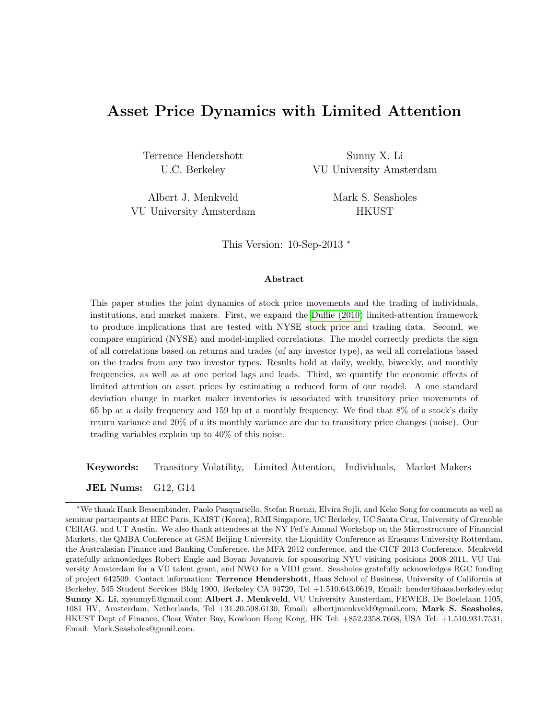## Asset Price Dynamics with Limited Attention

Terrence Hendershott Sunny X. Li

U.C. Berkeley **VU University Amsterdam** 

Albert J. Menkveld Mark S. Seasholes VU University Amsterdam HKUST

This Version: 10-Sep-2013 <sup>∗</sup>

#### Abstract

This paper studies the joint dynamics of stock price movements and the trading of individuals, institutions, and market makers. First, we expand the [Duffie \(2010\)](#page-24-0) limited-attention framework to produce implications that are tested with NYSE stock price and trading data. Second, we compare empirical (NYSE) and model-implied correlations. The model correctly predicts the sign of all correlations based on returns and trades (of any investor type), as well all correlations based on the trades from any two investor types. Results hold at daily, weekly, biweekly, and monthly frequencies, as well as at one period lags and leads. Third, we quantify the economic effects of limited attention on asset prices by estimating a reduced form of our model. A one standard deviation change in market maker inventories is associated with transitory price movements of 65 bp at a daily frequency and 159 bp at a monthly frequency. We find that 8% of a stock's daily return variance and 20% of a its monthly variance are due to transitory price changes (noise). Our trading variables explain up to 40% of this noise.

Keywords: Transitory Volatility, Limited Attention, Individuals, Market Makers

JEL Nums: G12, G14

<sup>∗</sup>We thank Hank Bessembinder, Paolo Pasquariello, Stefan Ruenzi, Elvira Sojli, and Keke Song for comments as well as seminar participants at HEC Paris, KAIST (Korea), RMI Singapore, UC Berkeley, UC Santa Cruz, University of Grenoble CERAG, and UT Austin. We also thank attendees at the NY Fed's Annual Workshop on the Microstructure of Financial Markets, the QMBA Conference at GSM Beijing University, the Liquidity Conference at Erasmus University Rotterdam, the Australasian Finance and Banking Conference, the MFA 2012 conference, and the CICF 2013 Conference. Menkveld gratefully acknowledges Robert Engle and Boyan Jovanovic for sponsoring NYU visiting positions 2008-2011, VU University Amsterdam for a VU talent grant, and NWO for a VIDI grant. Seasholes gratefully acknowledges RGC funding of project 642509. Contact information: Terrence Hendershott, Haas School of Business, University of California at Berkeley, 545 Student Services Bldg 1900, Berkeley CA 94720, Tel +1.510.643.0619, Email: hender@haas.berkeley.edu; Sunny X. Li, xysunnyli@gmail.com; Albert J. Menkveld, VU University Amsterdam, FEWEB, De Boelelaan 1105, 1081 HV, Amsterdam, Netherlands, Tel +31.20.598.6130, Email: albertjmenkveld@gmail.com; Mark S. Seasholes, HKUST Dept of Finance, Clear Water Bay, Kowloon Hong Kong, HK Tel: +852.2358.7668, USA Tel: +1.510.931.7531, Email: Mark.Seasholes@gmail.com.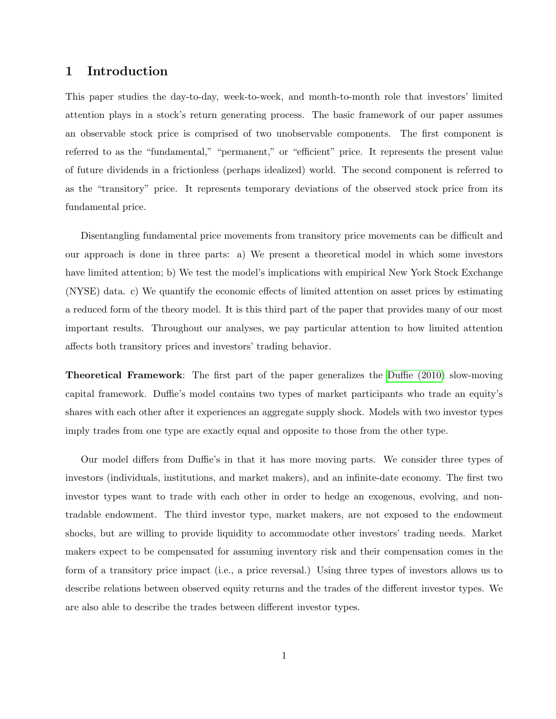## 1 Introduction

This paper studies the day-to-day, week-to-week, and month-to-month role that investors' limited attention plays in a stock's return generating process. The basic framework of our paper assumes an observable stock price is comprised of two unobservable components. The first component is referred to as the "fundamental," "permanent," or "efficient" price. It represents the present value of future dividends in a frictionless (perhaps idealized) world. The second component is referred to as the "transitory" price. It represents temporary deviations of the observed stock price from its fundamental price.

Disentangling fundamental price movements from transitory price movements can be difficult and our approach is done in three parts: a) We present a theoretical model in which some investors have limited attention; b) We test the model's implications with empirical New York Stock Exchange (NYSE) data. c) We quantify the economic effects of limited attention on asset prices by estimating a reduced form of the theory model. It is this third part of the paper that provides many of our most important results. Throughout our analyses, we pay particular attention to how limited attention affects both transitory prices and investors' trading behavior.

Theoretical Framework: The first part of the paper generalizes the [Duffie \(2010\)](#page-24-0) slow-moving capital framework. Duffie's model contains two types of market participants who trade an equity's shares with each other after it experiences an aggregate supply shock. Models with two investor types imply trades from one type are exactly equal and opposite to those from the other type.

Our model differs from Duffie's in that it has more moving parts. We consider three types of investors (individuals, institutions, and market makers), and an infinite-date economy. The first two investor types want to trade with each other in order to hedge an exogenous, evolving, and nontradable endowment. The third investor type, market makers, are not exposed to the endowment shocks, but are willing to provide liquidity to accommodate other investors' trading needs. Market makers expect to be compensated for assuming inventory risk and their compensation comes in the form of a transitory price impact (i.e., a price reversal.) Using three types of investors allows us to describe relations between observed equity returns and the trades of the different investor types. We are also able to describe the trades between different investor types.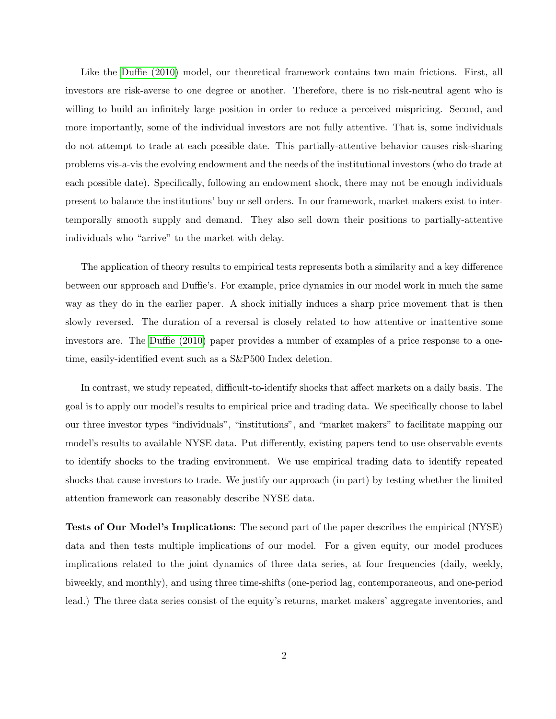Like the [Duffie \(2010\)](#page-24-0) model, our theoretical framework contains two main frictions. First, all investors are risk-averse to one degree or another. Therefore, there is no risk-neutral agent who is willing to build an infinitely large position in order to reduce a perceived mispricing. Second, and more importantly, some of the individual investors are not fully attentive. That is, some individuals do not attempt to trade at each possible date. This partially-attentive behavior causes risk-sharing problems vis-a-vis the evolving endowment and the needs of the institutional investors (who do trade at each possible date). Specifically, following an endowment shock, there may not be enough individuals present to balance the institutions' buy or sell orders. In our framework, market makers exist to intertemporally smooth supply and demand. They also sell down their positions to partially-attentive individuals who "arrive" to the market with delay.

The application of theory results to empirical tests represents both a similarity and a key difference between our approach and Duffie's. For example, price dynamics in our model work in much the same way as they do in the earlier paper. A shock initially induces a sharp price movement that is then slowly reversed. The duration of a reversal is closely related to how attentive or inattentive some investors are. The [Duffie \(2010\)](#page-24-0) paper provides a number of examples of a price response to a onetime, easily-identified event such as a S&P500 Index deletion.

In contrast, we study repeated, difficult-to-identify shocks that affect markets on a daily basis. The goal is to apply our model's results to empirical price and trading data. We specifically choose to label our three investor types "individuals", "institutions", and "market makers" to facilitate mapping our model's results to available NYSE data. Put differently, existing papers tend to use observable events to identify shocks to the trading environment. We use empirical trading data to identify repeated shocks that cause investors to trade. We justify our approach (in part) by testing whether the limited attention framework can reasonably describe NYSE data.

Tests of Our Model's Implications: The second part of the paper describes the empirical (NYSE) data and then tests multiple implications of our model. For a given equity, our model produces implications related to the joint dynamics of three data series, at four frequencies (daily, weekly, biweekly, and monthly), and using three time-shifts (one-period lag, contemporaneous, and one-period lead.) The three data series consist of the equity's returns, market makers' aggregate inventories, and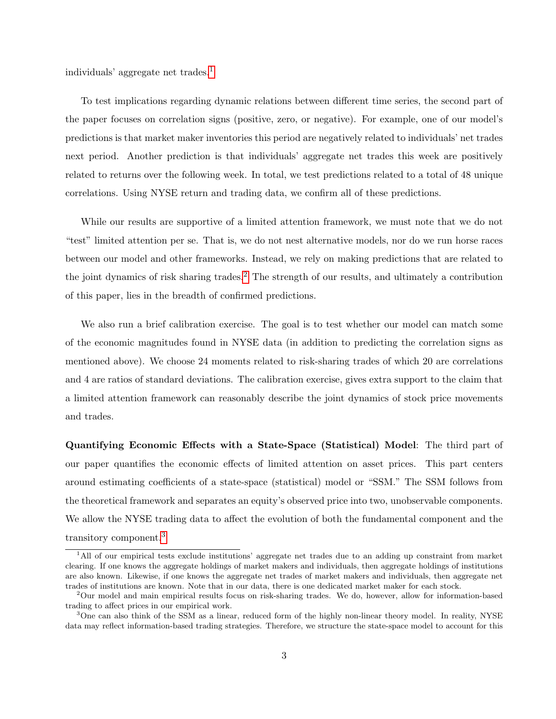individuals' aggregate net trades.[1](#page-3-0)

To test implications regarding dynamic relations between different time series, the second part of the paper focuses on correlation signs (positive, zero, or negative). For example, one of our model's predictions is that market maker inventories this period are negatively related to individuals' net trades next period. Another prediction is that individuals' aggregate net trades this week are positively related to returns over the following week. In total, we test predictions related to a total of 48 unique correlations. Using NYSE return and trading data, we confirm all of these predictions.

While our results are supportive of a limited attention framework, we must note that we do not "test" limited attention per se. That is, we do not nest alternative models, nor do we run horse races between our model and other frameworks. Instead, we rely on making predictions that are related to the joint dynamics of risk sharing trades.<sup>[2](#page-3-1)</sup> The strength of our results, and ultimately a contribution of this paper, lies in the breadth of confirmed predictions.

We also run a brief calibration exercise. The goal is to test whether our model can match some of the economic magnitudes found in NYSE data (in addition to predicting the correlation signs as mentioned above). We choose 24 moments related to risk-sharing trades of which 20 are correlations and 4 are ratios of standard deviations. The calibration exercise, gives extra support to the claim that a limited attention framework can reasonably describe the joint dynamics of stock price movements and trades.

Quantifying Economic Effects with a State-Space (Statistical) Model: The third part of our paper quantifies the economic effects of limited attention on asset prices. This part centers around estimating coefficients of a state-space (statistical) model or "SSM." The SSM follows from the theoretical framework and separates an equity's observed price into two, unobservable components. We allow the NYSE trading data to affect the evolution of both the fundamental component and the transitory component.[3](#page-3-2)

<span id="page-3-0"></span><sup>1</sup>All of our empirical tests exclude institutions' aggregate net trades due to an adding up constraint from market clearing. If one knows the aggregate holdings of market makers and individuals, then aggregate holdings of institutions are also known. Likewise, if one knows the aggregate net trades of market makers and individuals, then aggregate net trades of institutions are known. Note that in our data, there is one dedicated market maker for each stock.

<span id="page-3-1"></span><sup>2</sup>Our model and main empirical results focus on risk-sharing trades. We do, however, allow for information-based trading to affect prices in our empirical work.

<span id="page-3-2"></span><sup>&</sup>lt;sup>3</sup>One can also think of the SSM as a linear, reduced form of the highly non-linear theory model. In reality, NYSE data may reflect information-based trading strategies. Therefore, we structure the state-space model to account for this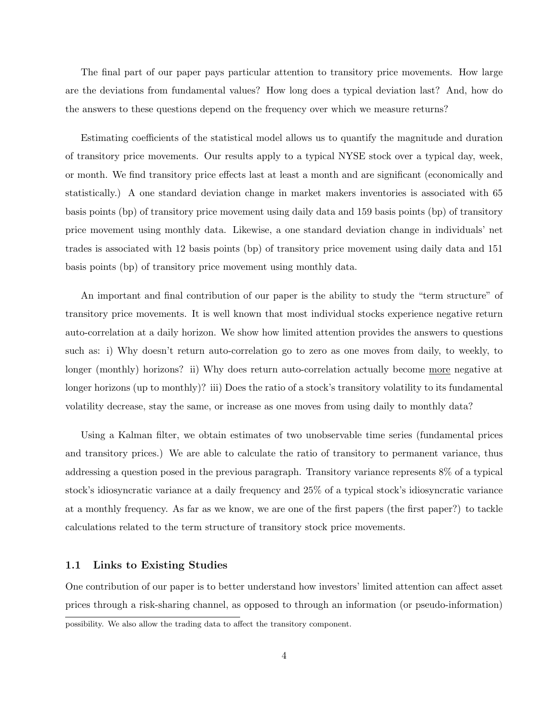The final part of our paper pays particular attention to transitory price movements. How large are the deviations from fundamental values? How long does a typical deviation last? And, how do the answers to these questions depend on the frequency over which we measure returns?

Estimating coefficients of the statistical model allows us to quantify the magnitude and duration of transitory price movements. Our results apply to a typical NYSE stock over a typical day, week, or month. We find transitory price effects last at least a month and are significant (economically and statistically.) A one standard deviation change in market makers inventories is associated with 65 basis points (bp) of transitory price movement using daily data and 159 basis points (bp) of transitory price movement using monthly data. Likewise, a one standard deviation change in individuals' net trades is associated with 12 basis points (bp) of transitory price movement using daily data and 151 basis points (bp) of transitory price movement using monthly data.

An important and final contribution of our paper is the ability to study the "term structure" of transitory price movements. It is well known that most individual stocks experience negative return auto-correlation at a daily horizon. We show how limited attention provides the answers to questions such as: i) Why doesn't return auto-correlation go to zero as one moves from daily, to weekly, to longer (monthly) horizons? ii) Why does return auto-correlation actually become more negative at longer horizons (up to monthly)? iii) Does the ratio of a stock's transitory volatility to its fundamental volatility decrease, stay the same, or increase as one moves from using daily to monthly data?

Using a Kalman filter, we obtain estimates of two unobservable time series (fundamental prices and transitory prices.) We are able to calculate the ratio of transitory to permanent variance, thus addressing a question posed in the previous paragraph. Transitory variance represents 8% of a typical stock's idiosyncratic variance at a daily frequency and 25% of a typical stock's idiosyncratic variance at a monthly frequency. As far as we know, we are one of the first papers (the first paper?) to tackle calculations related to the term structure of transitory stock price movements.

#### 1.1 Links to Existing Studies

One contribution of our paper is to better understand how investors' limited attention can affect asset prices through a risk-sharing channel, as opposed to through an information (or pseudo-information)

possibility. We also allow the trading data to affect the transitory component.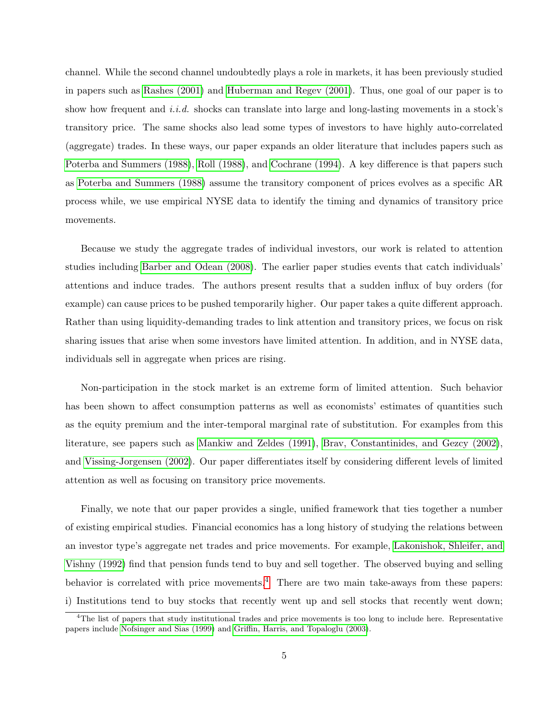channel. While the second channel undoubtedly plays a role in markets, it has been previously studied in papers such as [Rashes \(2001\)](#page-25-0) and [Huberman and Regev \(2001\)](#page-25-1). Thus, one goal of our paper is to show how frequent and *i.i.d.* shocks can translate into large and long-lasting movements in a stock's transitory price. The same shocks also lead some types of investors to have highly auto-correlated (aggregate) trades. In these ways, our paper expands an older literature that includes papers such as [Poterba and Summers \(1988\)](#page-25-2), [Roll \(1988\)](#page-25-3), and [Cochrane \(1994\)](#page-24-1). A key difference is that papers such as [Poterba and Summers \(1988\)](#page-25-2) assume the transitory component of prices evolves as a specific AR process while, we use empirical NYSE data to identify the timing and dynamics of transitory price movements.

Because we study the aggregate trades of individual investors, our work is related to attention studies including [Barber and Odean \(2008\)](#page-24-2). The earlier paper studies events that catch individuals' attentions and induce trades. The authors present results that a sudden influx of buy orders (for example) can cause prices to be pushed temporarily higher. Our paper takes a quite different approach. Rather than using liquidity-demanding trades to link attention and transitory prices, we focus on risk sharing issues that arise when some investors have limited attention. In addition, and in NYSE data, individuals sell in aggregate when prices are rising.

Non-participation in the stock market is an extreme form of limited attention. Such behavior has been shown to affect consumption patterns as well as economists' estimates of quantities such as the equity premium and the inter-temporal marginal rate of substitution. For examples from this literature, see papers such as [Mankiw and Zeldes \(1991\)](#page-25-4), [Brav, Constantinides, and Gezcy \(2002\)](#page-24-3), and [Vissing-Jorgensen \(2002\)](#page-26-0). Our paper differentiates itself by considering different levels of limited attention as well as focusing on transitory price movements.

Finally, we note that our paper provides a single, unified framework that ties together a number of existing empirical studies. Financial economics has a long history of studying the relations between an investor type's aggregate net trades and price movements. For example, [Lakonishok, Shleifer, and](#page-25-5) [Vishny \(1992\)](#page-25-5) find that pension funds tend to buy and sell together. The observed buying and selling behavior is correlated with price movements.<sup>[4](#page-5-0)</sup> There are two main take-aways from these papers: i) Institutions tend to buy stocks that recently went up and sell stocks that recently went down;

<span id="page-5-0"></span><sup>&</sup>lt;sup>4</sup>The list of papers that study institutional trades and price movements is too long to include here. Representative papers include [Nofsinger and Sias \(1999\)](#page-25-6) and [Griffin, Harris, and Topaloglu \(2003\)](#page-24-4).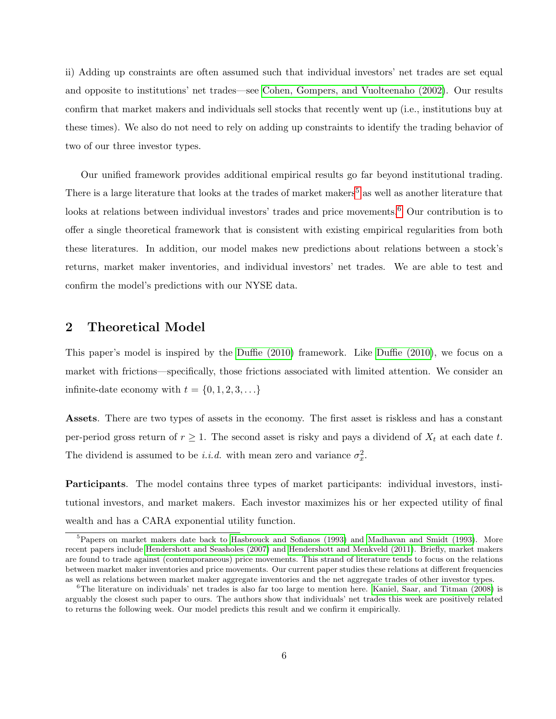ii) Adding up constraints are often assumed such that individual investors' net trades are set equal and opposite to institutions' net trades—see [Cohen, Gompers, and Vuolteenaho \(2002\)](#page-24-5). Our results confirm that market makers and individuals sell stocks that recently went up (i.e., institutions buy at these times). We also do not need to rely on adding up constraints to identify the trading behavior of two of our three investor types.

Our unified framework provides additional empirical results go far beyond institutional trading. There is a large literature that looks at the trades of market makers<sup>[5](#page-6-0)</sup> as well as another literature that looks at relations between individual investors' trades and price movements.<sup>[6](#page-6-1)</sup> Our contribution is to offer a single theoretical framework that is consistent with existing empirical regularities from both these literatures. In addition, our model makes new predictions about relations between a stock's returns, market maker inventories, and individual investors' net trades. We are able to test and confirm the model's predictions with our NYSE data.

### <span id="page-6-2"></span>2 Theoretical Model

This paper's model is inspired by the [Duffie \(2010\)](#page-24-0) framework. Like [Duffie \(2010\)](#page-24-0), we focus on a market with frictions—specifically, those frictions associated with limited attention. We consider an infinite-date economy with  $t = \{0, 1, 2, 3, \ldots\}$ 

Assets. There are two types of assets in the economy. The first asset is riskless and has a constant per-period gross return of  $r \geq 1$ . The second asset is risky and pays a dividend of  $X_t$  at each date t. The dividend is assumed to be *i.i.d.* with mean zero and variance  $\sigma_x^2$ .

Participants. The model contains three types of market participants: individual investors, institutional investors, and market makers. Each investor maximizes his or her expected utility of final wealth and has a CARA exponential utility function.

<span id="page-6-0"></span><sup>&</sup>lt;sup>5</sup>Papers on market makers date back to [Hasbrouck and Sofianos \(1993\)](#page-24-6) and [Madhavan and Smidt \(1993\)](#page-25-7). More recent papers include [Hendershott and Seasholes \(2007\)](#page-25-8) and [Hendershott and Menkveld \(2011\)](#page-24-7). Briefly, market makers are found to trade against (contemporaneous) price movements. This strand of literature tends to focus on the relations between market maker inventories and price movements. Our current paper studies these relations at different frequencies as well as relations between market maker aggregate inventories and the net aggregate trades of other investor types.

<span id="page-6-1"></span><sup>6</sup>The literature on individuals' net trades is also far too large to mention here. [Kaniel, Saar, and Titman \(2008\)](#page-25-9) is arguably the closest such paper to ours. The authors show that individuals' net trades this week are positively related to returns the following week. Our model predicts this result and we confirm it empirically.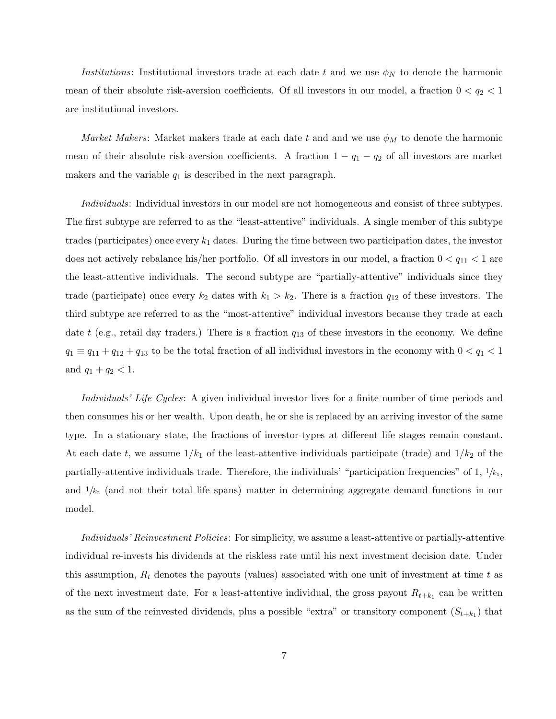Institutions: Institutional investors trade at each date t and we use  $\phi_N$  to denote the harmonic mean of their absolute risk-aversion coefficients. Of all investors in our model, a fraction  $0 < q_2 < 1$ are institutional investors.

*Market Makers*: Market makers trade at each date t and and we use  $\phi_M$  to denote the harmonic mean of their absolute risk-aversion coefficients. A fraction  $1 - q_1 - q_2$  of all investors are market makers and the variable  $q_1$  is described in the next paragraph.

Individuals: Individual investors in our model are not homogeneous and consist of three subtypes. The first subtype are referred to as the "least-attentive" individuals. A single member of this subtype trades (participates) once every  $k_1$  dates. During the time between two participation dates, the investor does not actively rebalance his/her portfolio. Of all investors in our model, a fraction  $0 < q_{11} < 1$  are the least-attentive individuals. The second subtype are "partially-attentive" individuals since they trade (participate) once every  $k_2$  dates with  $k_1 > k_2$ . There is a fraction  $q_{12}$  of these investors. The third subtype are referred to as the "most-attentive" individual investors because they trade at each date t (e.g., retail day traders.) There is a fraction  $q_{13}$  of these investors in the economy. We define  $q_1 \equiv q_{11} + q_{12} + q_{13}$  to be the total fraction of all individual investors in the economy with  $0 < q_1 < 1$ and  $q_1 + q_2 < 1$ .

Individuals' Life Cycles: A given individual investor lives for a finite number of time periods and then consumes his or her wealth. Upon death, he or she is replaced by an arriving investor of the same type. In a stationary state, the fractions of investor-types at different life stages remain constant. At each date t, we assume  $1/k_1$  of the least-attentive individuals participate (trade) and  $1/k_2$  of the partially-attentive individuals trade. Therefore, the individuals' "participation frequencies" of 1,  $1/k_1$ , and  $1/k<sub>2</sub>$  (and not their total life spans) matter in determining aggregate demand functions in our model.

Individuals' Reinvestment Policies: For simplicity, we assume a least-attentive or partially-attentive individual re-invests his dividends at the riskless rate until his next investment decision date. Under this assumption,  $R_t$  denotes the payouts (values) associated with one unit of investment at time t as of the next investment date. For a least-attentive individual, the gross payout  $R_{t+k_1}$  can be written as the sum of the reinvested dividends, plus a possible "extra" or transitory component  $(S_{t+k_1})$  that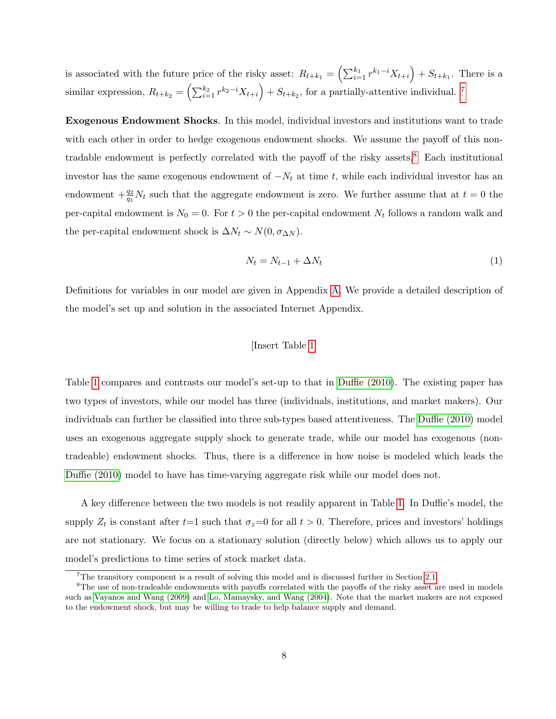is associated with the future price of the risky asset:  $R_{t+k_1} = \left(\sum_{i=1}^{k_1} r^{k_1-i} X_{t+i}\right) + S_{t+k_1}$ . There is a similar expression,  $R_{t+k_2} = \left(\sum_{i=1}^{k_2} r^{k_2-i} X_{t+i}\right) + S_{t+k_2}$ , for a partially-attentive individual. <sup>[7](#page-8-0)</sup>

Exogenous Endowment Shocks. In this model, individual investors and institutions want to trade with each other in order to hedge exogenous endowment shocks. We assume the payoff of this non-tradable endowment is perfectly correlated with the payoff of the risky assets.<sup>[8](#page-8-1)</sup> Each institutional investor has the same exogenous endowment of  $-N_t$  at time t, while each individual investor has an endowment  $+\frac{q_2}{q_1}N_t$  such that the aggregate endowment is zero. We further assume that at  $t=0$  the per-capital endowment is  $N_0 = 0$ . For  $t > 0$  the per-capital endowment  $N_t$  follows a random walk and the per-capital endowment shock is  $\Delta N_t \sim N(0, \sigma_{\Delta N})$ .

$$
N_t = N_{t-1} + \Delta N_t \tag{1}
$$

Definitions for variables in our model are given in Appendix [A.](#page-36-0) We provide a detailed description of the model's set up and solution in the associated Internet Appendix.

#### [Insert Table [1\]](#page-27-0)

Table [1](#page-27-0) compares and contrasts our model's set-up to that in [Duffie \(2010\)](#page-24-0). The existing paper has two types of investors, while our model has three (individuals, institutions, and market makers). Our individuals can further be classified into three sub-types based attentiveness. The [Duffie \(2010\)](#page-24-0) model uses an exogenous aggregate supply shock to generate trade, while our model has exogenous (nontradeable) endowment shocks. Thus, there is a difference in how noise is modeled which leads the [Duffie \(2010\)](#page-24-0) model to have has time-varying aggregate risk while our model does not.

A key difference between the two models is not readily apparent in Table [1.](#page-27-0) In Duffie's model, the supply  $Z_t$  is constant after  $t=1$  such that  $\sigma_z=0$  for all  $t>0$ . Therefore, prices and investors' holdings are not stationary. We focus on a stationary solution (directly below) which allows us to apply our model's predictions to time series of stock market data.

<span id="page-8-1"></span><span id="page-8-0"></span><sup>7</sup>The transitory component is a result of solving this model and is discussed further in Section [2.1.](#page-9-0)

<sup>&</sup>lt;sup>8</sup>The use of non-tradeable endowments with payoffs correlated with the payoffs of the risky asset are used in models such as [Vayanos and Wang \(2009\)](#page-26-1) and [Lo, Mamaysky, and Wang \(2004\)](#page-25-10). Note that the market makers are not exposed to the endowment shock, but may be willing to trade to help balance supply and demand.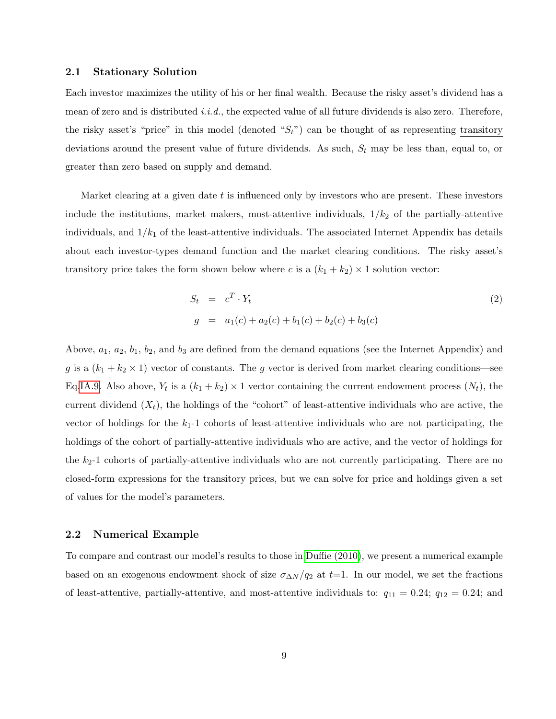#### <span id="page-9-0"></span>2.1 Stationary Solution

Each investor maximizes the utility of his or her final wealth. Because the risky asset's dividend has a mean of zero and is distributed *i.i.d.*, the expected value of all future dividends is also zero. Therefore, the risky asset's "price" in this model (denoted " $S_t$ ") can be thought of as representing transitory deviations around the present value of future dividends. As such,  $S_t$  may be less than, equal to, or greater than zero based on supply and demand.

Market clearing at a given date  $t$  is influenced only by investors who are present. These investors include the institutions, market makers, most-attentive individuals,  $1/k_2$  of the partially-attentive individuals, and  $1/k_1$  of the least-attentive individuals. The associated Internet Appendix has details about each investor-types demand function and the market clearing conditions. The risky asset's transitory price takes the form shown below where c is a  $(k_1 + k_2) \times 1$  solution vector:

$$
S_t = c^T \cdot Y_t
$$
  
\n
$$
g = a_1(c) + a_2(c) + b_1(c) + b_2(c) + b_3(c)
$$
\n(2)

Above,  $a_1, a_2, b_1, b_2$ , and  $b_3$  are defined from the demand equations (see the Internet Appendix) and g is a  $(k_1 + k_2 \times 1)$  vector of constants. The g vector is derived from market clearing conditions—see Eq[.IA.9.](#page--1-0) Also above,  $Y_t$  is a  $(k_1 + k_2) \times 1$  vector containing the current endowment process  $(N_t)$ , the current dividend  $(X_t)$ , the holdings of the "cohort" of least-attentive individuals who are active, the vector of holdings for the  $k_1$ -1 cohorts of least-attentive individuals who are not participating, the holdings of the cohort of partially-attentive individuals who are active, and the vector of holdings for the  $k_2$ -1 cohorts of partially-attentive individuals who are not currently participating. There are no closed-form expressions for the transitory prices, but we can solve for price and holdings given a set of values for the model's parameters.

#### 2.2 Numerical Example

To compare and contrast our model's results to those in [Duffie \(2010\)](#page-24-0), we present a numerical example based on an exogenous endowment shock of size  $\sigma_{\Delta N}/q_2$  at t=1. In our model, we set the fractions of least-attentive, partially-attentive, and most-attentive individuals to:  $q_{11} = 0.24$ ;  $q_{12} = 0.24$ ; and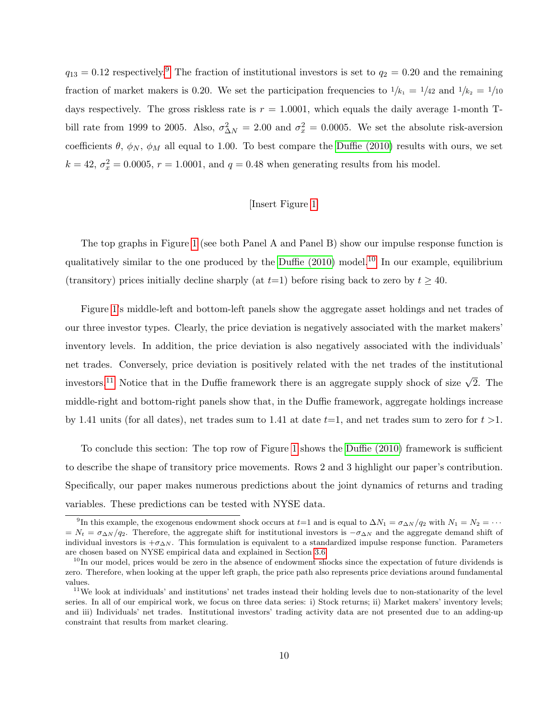$q_{13} = 0.12$  respectively.<sup>[9](#page-10-0)</sup> The fraction of institutional investors is set to  $q_2 = 0.20$  and the remaining fraction of market makers is 0.20. We set the participation frequencies to  $1/k_1 = 1/42$  and  $1/k_2 = 1/10$ days respectively. The gross riskless rate is  $r = 1.0001$ , which equals the daily average 1-month Tbill rate from 1999 to 2005. Also,  $\sigma_{\Delta N}^2 = 2.00$  and  $\sigma_x^2 = 0.0005$ . We set the absolute risk-aversion coefficients  $\theta$ ,  $\phi_N$ ,  $\phi_M$  all equal to 1.00. To best compare the [Duffie \(2010\)](#page-24-0) results with ours, we set  $k = 42$ ,  $\sigma_x^2 = 0.0005$ ,  $r = 1.0001$ , and  $q = 0.48$  when generating results from his model.

#### [Insert Figure [1\]](#page-34-0)

The top graphs in Figure [1](#page-34-0) (see both Panel A and Panel B) show our impulse response function is qualitatively similar to the one produced by the Duffie  $(2010)$  $(2010)$  $(2010)$  model.<sup>10</sup> In our example, equilibrium (transitory) prices initially decline sharply (at  $t=1$ ) before rising back to zero by  $t \geq 40$ .

Figure [1'](#page-34-0)s middle-left and bottom-left panels show the aggregate asset holdings and net trades of our three investor types. Clearly, the price deviation is negatively associated with the market makers' inventory levels. In addition, the price deviation is also negatively associated with the individuals' net trades. Conversely, price deviation is positively related with the net trades of the institutional investors.<sup>[11](#page-10-2)</sup> Notice that in the Duffie framework there is an aggregate supply shock of size  $\sqrt{2}$ . The middle-right and bottom-right panels show that, in the Duffie framework, aggregate holdings increase by 1.41 units (for all dates), net trades sum to 1.41 at date  $t=1$ , and net trades sum to zero for  $t > 1$ .

To conclude this section: The top row of Figure [1](#page-34-0) shows the [Duffie \(2010\)](#page-24-0) framework is sufficient to describe the shape of transitory price movements. Rows 2 and 3 highlight our paper's contribution. Specifically, our paper makes numerous predictions about the joint dynamics of returns and trading variables. These predictions can be tested with NYSE data.

<span id="page-10-0"></span><sup>&</sup>lt;sup>9</sup>In this example, the exogenous endowment shock occurs at t=1 and is equal to  $\Delta N_1 = \sigma_{\Delta N}/q_2$  with  $N_1 = N_2 = \cdots$  $N_t = \sigma_{\Delta N}/q_2$ . Therefore, the aggregate shift for institutional investors is  $-\sigma_{\Delta N}$  and the aggregate demand shift of individual investors is  $+\sigma_{\Delta N}$ . This formulation is equivalent to a standardized impulse response function. Parameters are chosen based on NYSE empirical data and explained in Section [3.6.](#page-15-0)

<span id="page-10-1"></span> $10$ In our model, prices would be zero in the absence of endowment shocks since the expectation of future dividends is zero. Therefore, when looking at the upper left graph, the price path also represents price deviations around fundamental values.

<span id="page-10-2"></span> $11$ We look at individuals' and institutions' net trades instead their holding levels due to non-stationarity of the level series. In all of our empirical work, we focus on three data series: i) Stock returns; ii) Market makers' inventory levels; and iii) Individuals' net trades. Institutional investors' trading activity data are not presented due to an adding-up constraint that results from market clearing.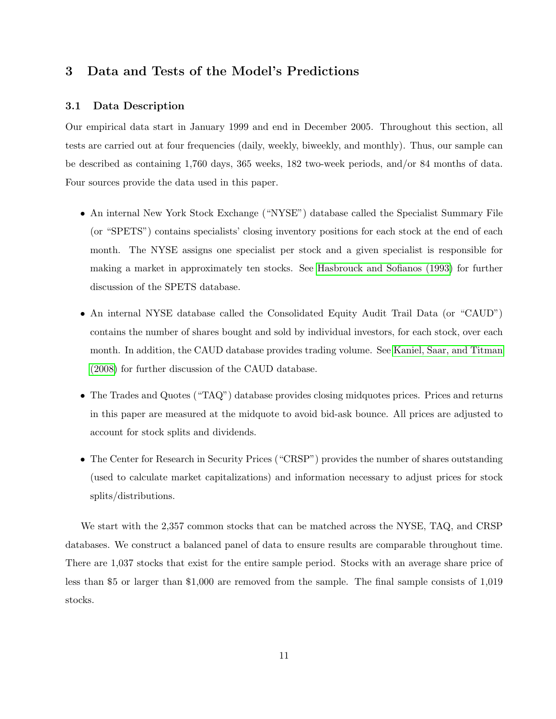## <span id="page-11-0"></span>3 Data and Tests of the Model's Predictions

#### 3.1 Data Description

Our empirical data start in January 1999 and end in December 2005. Throughout this section, all tests are carried out at four frequencies (daily, weekly, biweekly, and monthly). Thus, our sample can be described as containing 1,760 days, 365 weeks, 182 two-week periods, and/or 84 months of data. Four sources provide the data used in this paper.

- An internal New York Stock Exchange ("NYSE") database called the Specialist Summary File (or "SPETS") contains specialists' closing inventory positions for each stock at the end of each month. The NYSE assigns one specialist per stock and a given specialist is responsible for making a market in approximately ten stocks. See [Hasbrouck and Sofianos \(1993\)](#page-24-6) for further discussion of the SPETS database.
- An internal NYSE database called the Consolidated Equity Audit Trail Data (or "CAUD") contains the number of shares bought and sold by individual investors, for each stock, over each month. In addition, the CAUD database provides trading volume. See [Kaniel, Saar, and Titman](#page-25-9) [\(2008\)](#page-25-9) for further discussion of the CAUD database.
- The Trades and Quotes ("TAQ") database provides closing midquotes prices. Prices and returns in this paper are measured at the midquote to avoid bid-ask bounce. All prices are adjusted to account for stock splits and dividends.
- The Center for Research in Security Prices ("CRSP") provides the number of shares outstanding (used to calculate market capitalizations) and information necessary to adjust prices for stock splits/distributions.

We start with the 2,357 common stocks that can be matched across the NYSE, TAQ, and CRSP databases. We construct a balanced panel of data to ensure results are comparable throughout time. There are 1,037 stocks that exist for the entire sample period. Stocks with an average share price of less than \$5 or larger than \$1,000 are removed from the sample. The final sample consists of 1,019 stocks.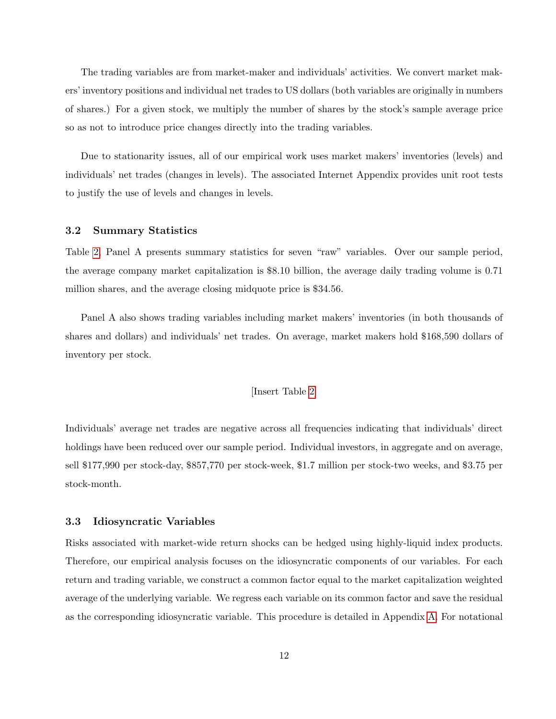The trading variables are from market-maker and individuals' activities. We convert market makers' inventory positions and individual net trades to US dollars (both variables are originally in numbers of shares.) For a given stock, we multiply the number of shares by the stock's sample average price so as not to introduce price changes directly into the trading variables.

Due to stationarity issues, all of our empirical work uses market makers' inventories (levels) and individuals' net trades (changes in levels). The associated Internet Appendix provides unit root tests to justify the use of levels and changes in levels.

#### 3.2 Summary Statistics

Table [2,](#page-28-0) Panel A presents summary statistics for seven "raw" variables. Over our sample period, the average company market capitalization is \$8.10 billion, the average daily trading volume is 0.71 million shares, and the average closing midquote price is \$34.56.

Panel A also shows trading variables including market makers' inventories (in both thousands of shares and dollars) and individuals' net trades. On average, market makers hold \$168,590 dollars of inventory per stock.

#### [Insert Table [2\]](#page-28-0)

Individuals' average net trades are negative across all frequencies indicating that individuals' direct holdings have been reduced over our sample period. Individual investors, in aggregate and on average, sell \$177,990 per stock-day, \$857,770 per stock-week, \$1.7 million per stock-two weeks, and \$3.75 per stock-month.

#### 3.3 Idiosyncratic Variables

Risks associated with market-wide return shocks can be hedged using highly-liquid index products. Therefore, our empirical analysis focuses on the idiosyncratic components of our variables. For each return and trading variable, we construct a common factor equal to the market capitalization weighted average of the underlying variable. We regress each variable on its common factor and save the residual as the corresponding idiosyncratic variable. This procedure is detailed in Appendix [A.](#page-36-0) For notational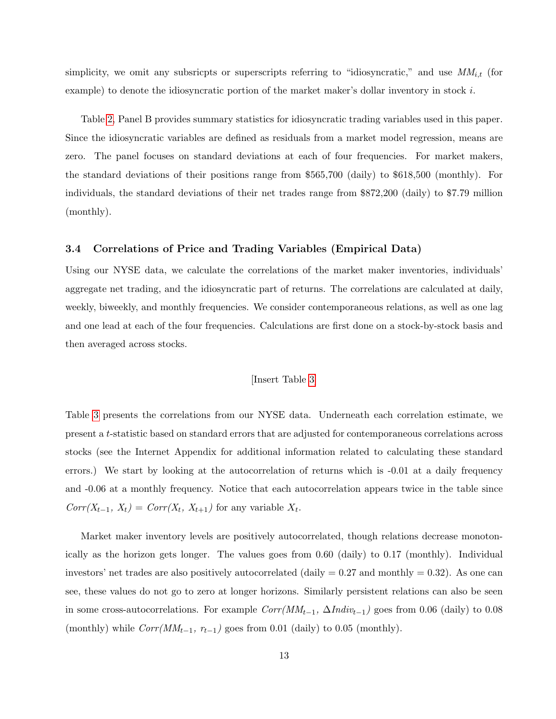simplicity, we omit any subsricpts or superscripts referring to "idiosyncratic," and use  $MM_{i,t}$  (for example) to denote the idiosyncratic portion of the market maker's dollar inventory in stock  $i$ .

Table [2,](#page-28-0) Panel B provides summary statistics for idiosyncratic trading variables used in this paper. Since the idiosyncratic variables are defined as residuals from a market model regression, means are zero. The panel focuses on standard deviations at each of four frequencies. For market makers, the standard deviations of their positions range from \$565,700 (daily) to \$618,500 (monthly). For individuals, the standard deviations of their net trades range from \$872,200 (daily) to \$7.79 million (monthly).

#### 3.4 Correlations of Price and Trading Variables (Empirical Data)

Using our NYSE data, we calculate the correlations of the market maker inventories, individuals' aggregate net trading, and the idiosyncratic part of returns. The correlations are calculated at daily, weekly, biweekly, and monthly frequencies. We consider contemporaneous relations, as well as one lag and one lead at each of the four frequencies. Calculations are first done on a stock-by-stock basis and then averaged across stocks.

#### [Insert Table [3\]](#page-30-0)

Table [3](#page-30-0) presents the correlations from our NYSE data. Underneath each correlation estimate, we present a t-statistic based on standard errors that are adjusted for contemporaneous correlations across stocks (see the Internet Appendix for additional information related to calculating these standard errors.) We start by looking at the autocorrelation of returns which is -0.01 at a daily frequency and -0.06 at a monthly frequency. Notice that each autocorrelation appears twice in the table since  $Corr(X_{t-1}, X_t) = Corr(X_t, X_{t+1})$  for any variable  $X_t$ .

Market maker inventory levels are positively autocorrelated, though relations decrease monotonically as the horizon gets longer. The values goes from 0.60 (daily) to 0.17 (monthly). Individual investors' net trades are also positively autocorrelated (daily  $= 0.27$  and monthly  $= 0.32$ ). As one can see, these values do not go to zero at longer horizons. Similarly persistent relations can also be seen in some cross-autocorrelations. For example  $Corr(MM_{t-1}, \Delta Indiv_{t-1})$  goes from 0.06 (daily) to 0.08 (monthly) while  $Corr(MM_{t-1}, r_{t-1})$  goes from 0.01 (daily) to 0.05 (monthly).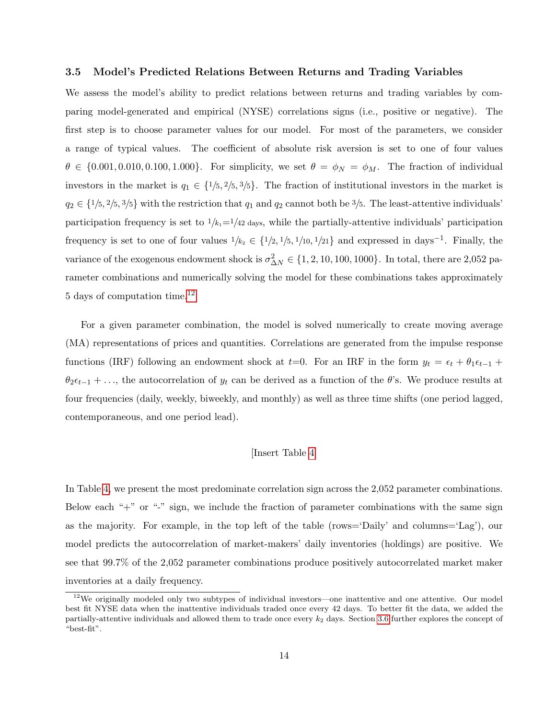#### 3.5 Model's Predicted Relations Between Returns and Trading Variables

We assess the model's ability to predict relations between returns and trading variables by comparing model-generated and empirical (NYSE) correlations signs (i.e., positive or negative). The first step is to choose parameter values for our model. For most of the parameters, we consider a range of typical values. The coefficient of absolute risk aversion is set to one of four values  $\theta \in \{0.001, 0.010, 0.100, 1.000\}$ . For simplicity, we set  $\theta = \phi_N = \phi_M$ . The fraction of individual investors in the market is  $q_1 \in \{1/5, 2/5, 3/5\}$ . The fraction of institutional investors in the market is  $q_2 \in \{1/5, 2/5, 3/5\}$  with the restriction that  $q_1$  and  $q_2$  cannot both be  $3/5$ . The least-attentive individuals' participation frequency is set to  $1/k_1=1/42$  days, while the partially-attentive individuals' participation frequency is set to one of four values  $1/k_2 \in \{1/2, 1/5, 1/10, 1/21\}$  and expressed in days<sup>-1</sup>. Finally, the variance of the exogenous endowment shock is  $\sigma_{\Delta N}^2 \in \{1, 2, 10, 100, 1000\}$ . In total, there are 2,052 parameter combinations and numerically solving the model for these combinations takes approximately 5 days of computation time.[12](#page-14-0)

For a given parameter combination, the model is solved numerically to create moving average (MA) representations of prices and quantities. Correlations are generated from the impulse response functions (IRF) following an endowment shock at t=0. For an IRF in the form  $y_t = \epsilon_t + \theta_1 \epsilon_{t-1}$  +  $\theta_2 \epsilon_{t-1} + \ldots$ , the autocorrelation of  $y_t$  can be derived as a function of the  $\theta$ 's. We produce results at four frequencies (daily, weekly, biweekly, and monthly) as well as three time shifts (one period lagged, contemporaneous, and one period lead).

#### [Insert Table [4\]](#page-31-0)

In Table [4,](#page-31-0) we present the most predominate correlation sign across the 2,052 parameter combinations. Below each "+" or "-" sign, we include the fraction of parameter combinations with the same sign as the majority. For example, in the top left of the table (rows='Daily' and columns='Lag'), our model predicts the autocorrelation of market-makers' daily inventories (holdings) are positive. We see that 99.7% of the 2,052 parameter combinations produce positively autocorrelated market maker inventories at a daily frequency.

<span id="page-14-0"></span> $12$ We originally modeled only two subtypes of individual investors—one inattentive and one attentive. Our model best fit NYSE data when the inattentive individuals traded once every 42 days. To better fit the data, we added the partially-attentive individuals and allowed them to trade once every  $k_2$  days. Section [3.6](#page-15-0) further explores the concept of "best-fit".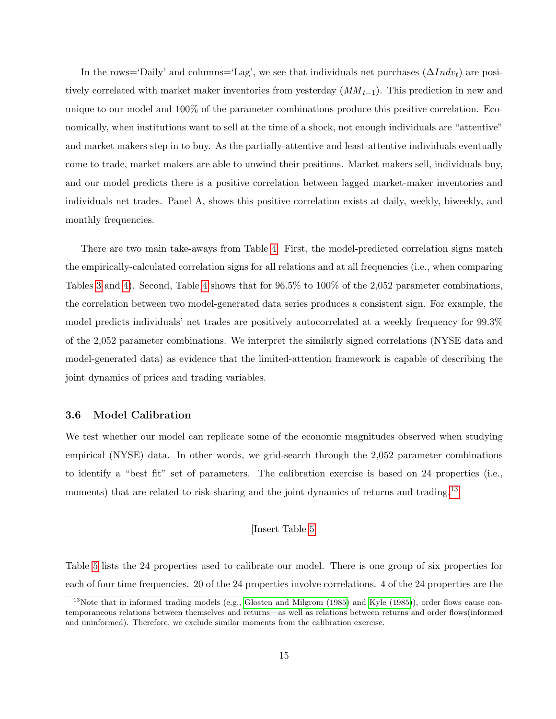In the rows='Daily' and columns='Lag', we see that individuals net purchases  $(\Delta Indv_t)$  are positively correlated with market maker inventories from yesterday  $(MM_{t-1})$ . This prediction in new and unique to our model and 100% of the parameter combinations produce this positive correlation. Economically, when institutions want to sell at the time of a shock, not enough individuals are "attentive" and market makers step in to buy. As the partially-attentive and least-attentive individuals eventually come to trade, market makers are able to unwind their positions. Market makers sell, individuals buy, and our model predicts there is a positive correlation between lagged market-maker inventories and individuals net trades. Panel A, shows this positive correlation exists at daily, weekly, biweekly, and monthly frequencies.

There are two main take-aways from Table [4.](#page-31-0) First, the model-predicted correlation signs match the empirically-calculated correlation signs for all relations and at all frequencies (i.e., when comparing Tables [3](#page-30-0) and [4\)](#page-31-0). Second, Table [4](#page-31-0) shows that for 96.5% to 100% of the 2,052 parameter combinations, the correlation between two model-generated data series produces a consistent sign. For example, the model predicts individuals' net trades are positively autocorrelated at a weekly frequency for 99.3% of the 2,052 parameter combinations. We interpret the similarly signed correlations (NYSE data and model-generated data) as evidence that the limited-attention framework is capable of describing the joint dynamics of prices and trading variables.

#### <span id="page-15-0"></span>3.6 Model Calibration

We test whether our model can replicate some of the economic magnitudes observed when studying empirical (NYSE) data. In other words, we grid-search through the 2,052 parameter combinations to identify a "best fit" set of parameters. The calibration exercise is based on 24 properties (i.e., moments) that are related to risk-sharing and the joint dynamics of returns and trading.<sup>[13](#page-15-1)</sup>

#### [Insert Table [5\]](#page-32-0)

Table [5](#page-32-0) lists the 24 properties used to calibrate our model. There is one group of six properties for each of four time frequencies. 20 of the 24 properties involve correlations. 4 of the 24 properties are the

<span id="page-15-1"></span> $13$ Note that in informed trading models (e.g., [Glosten and Milgrom \(1985\)](#page-24-8) and [Kyle \(1985\)](#page-25-11)), order flows cause contemporaneous relations between themselves and returns—as well as relations between returns and order flows(informed and uninformed). Therefore, we exclude similar moments from the calibration exercise.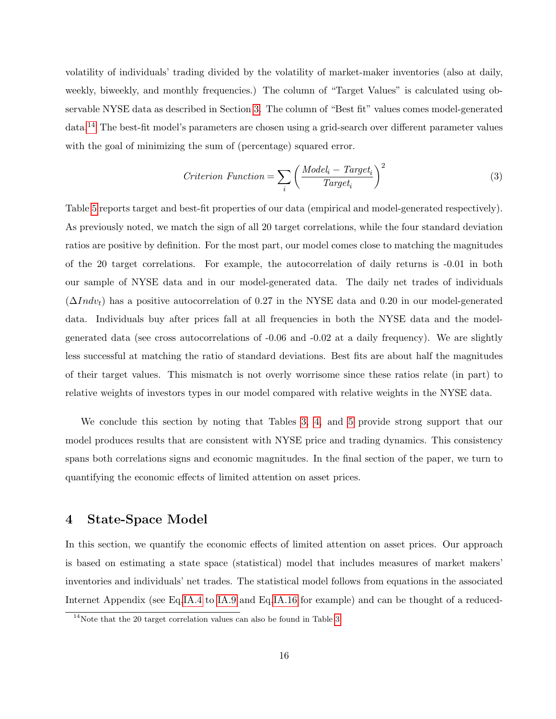volatility of individuals' trading divided by the volatility of market-maker inventories (also at daily, weekly, biweekly, and monthly frequencies.) The column of "Target Values" is calculated using observable NYSE data as described in Section [3.](#page-11-0) The column of "Best fit" values comes model-generated data.[14](#page-16-0) The best-fit model's parameters are chosen using a grid-search over different parameter values with the goal of minimizing the sum of (percentage) squared error.

$$
Criterion\ Function = \sum_{i} \left( \frac{Model_i - Target_i}{Target_i} \right)^2 \tag{3}
$$

Table [5](#page-32-0) reports target and best-fit properties of our data (empirical and model-generated respectively). As previously noted, we match the sign of all 20 target correlations, while the four standard deviation ratios are positive by definition. For the most part, our model comes close to matching the magnitudes of the 20 target correlations. For example, the autocorrelation of daily returns is -0.01 in both our sample of NYSE data and in our model-generated data. The daily net trades of individuals  $(\Delta Indv_t)$  has a positive autocorrelation of 0.27 in the NYSE data and 0.20 in our model-generated data. Individuals buy after prices fall at all frequencies in both the NYSE data and the modelgenerated data (see cross autocorrelations of -0.06 and -0.02 at a daily frequency). We are slightly less successful at matching the ratio of standard deviations. Best fits are about half the magnitudes of their target values. This mismatch is not overly worrisome since these ratios relate (in part) to relative weights of investors types in our model compared with relative weights in the NYSE data.

We conclude this section by noting that Tables [3,](#page-30-0) [4,](#page-31-0) and [5](#page-32-0) provide strong support that our model produces results that are consistent with NYSE price and trading dynamics. This consistency spans both correlations signs and economic magnitudes. In the final section of the paper, we turn to quantifying the economic effects of limited attention on asset prices.

## 4 State-Space Model

In this section, we quantify the economic effects of limited attention on asset prices. Our approach is based on estimating a state space (statistical) model that includes measures of market makers' inventories and individuals' net trades. The statistical model follows from equations in the associated Internet Appendix (see Eq[.IA.4](#page--1-1) to [IA.9](#page--1-0) and Eq[.IA.16](#page--1-2) for example) and can be thought of a reduced-

<span id="page-16-0"></span><sup>&</sup>lt;sup>14</sup>Note that the 20 target correlation values can also be found in Table [3.](#page-30-0)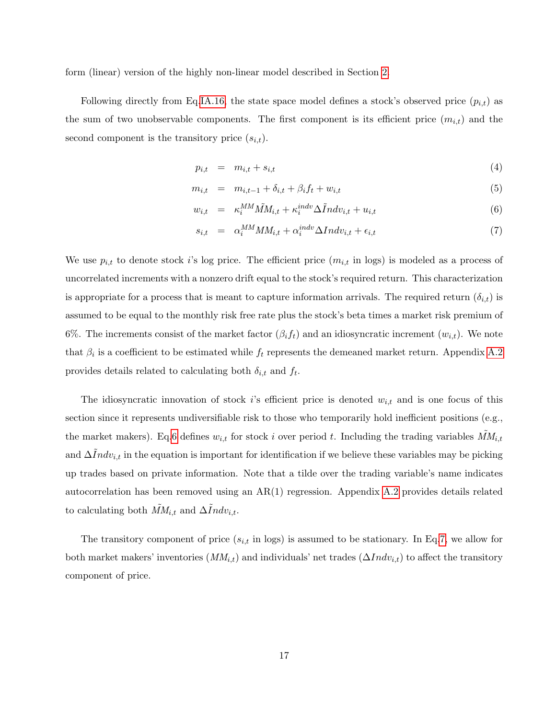form (linear) version of the highly non-linear model described in Section [2.](#page-6-2)

Following directly from Eq[.IA.16,](#page--1-2) the state space model defines a stock's observed price  $(p_{i,t})$  as the sum of two unobservable components. The first component is its efficient price  $(m_{i,t})$  and the second component is the transitory price  $(s_{i,t})$ .

<span id="page-17-0"></span>
$$
p_{i,t} = m_{i,t} + s_{i,t} \tag{4}
$$

$$
m_{i,t} = m_{i,t-1} + \delta_{i,t} + \beta_i f_t + w_{i,t}
$$
\n(5)

$$
w_{i,t} = \kappa_i^{MM} \tilde{M} M_{i,t} + \kappa_i^{indv} \Delta \tilde{I} ndv_{i,t} + u_{i,t}
$$
\n
$$
\tag{6}
$$

$$
s_{i,t} = \alpha_i^{MM} M M_{i,t} + \alpha_i^{indv} \Delta Indv_{i,t} + \epsilon_{i,t}
$$
\n<sup>(7)</sup>

We use  $p_{i,t}$  to denote stock is log price. The efficient price  $(m_{i,t}$  in logs) is modeled as a process of uncorrelated increments with a nonzero drift equal to the stock's required return. This characterization is appropriate for a process that is meant to capture information arrivals. The required return  $(\delta_{i,t})$  is assumed to be equal to the monthly risk free rate plus the stock's beta times a market risk premium of 6%. The increments consist of the market factor  $(\beta_i f_t)$  and an idiosyncratic increment  $(w_{i,t})$ . We note that  $\beta_i$  is a coefficient to be estimated while  $f_t$  represents the demeaned market return. Appendix [A.2](#page-38-0) provides details related to calculating both  $\delta_{i,t}$  and  $f_t$ .

The idiosyncratic innovation of stock i's efficient price is denoted  $w_{i,t}$  and is one focus of this section since it represents undiversifiable risk to those who temporarily hold inefficient positions (e.g., the market makers). Eq[.6](#page-17-0) defines  $w_{i,t}$  for stock i over period t. Including the trading variables  $\tilde{M}M_{i,t}$ and  $\Delta Indv_{i,t}$  in the equation is important for identification if we believe these variables may be picking up trades based on private information. Note that a tilde over the trading variable's name indicates autocorrelation has been removed using an AR(1) regression. Appendix [A.2](#page-38-0) provides details related to calculating both  $\tilde{MM}_{i,t}$  and  $\Delta \tilde{I}ndv_{i,t}$ .

The transitory component of price  $(s_{i,t}$  in logs) is assumed to be stationary. In Eq[.7,](#page-17-0) we allow for both market makers' inventories  $(MM_{i,t})$  and individuals' net trades  $(\Delta Indv_{i,t})$  to affect the transitory component of price.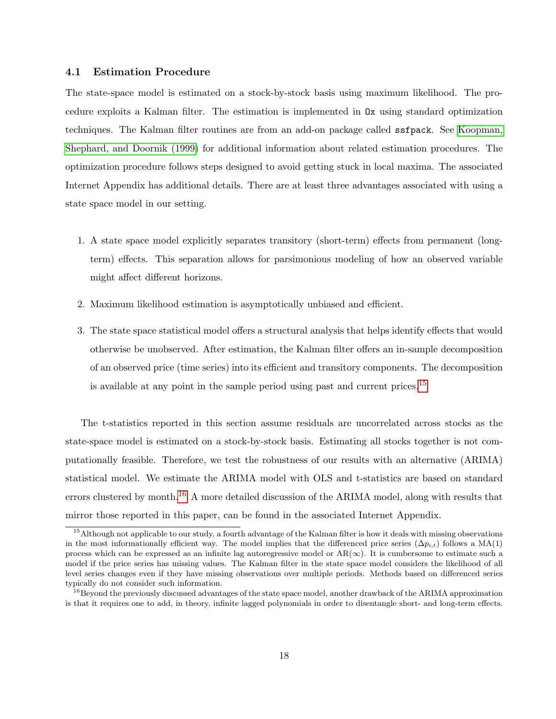#### 4.1 Estimation Procedure

The state-space model is estimated on a stock-by-stock basis using maximum likelihood. The procedure exploits a Kalman filter. The estimation is implemented in Ox using standard optimization techniques. The Kalman filter routines are from an add-on package called ssfpack. See [Koopman,](#page-25-12) [Shephard, and Doornik \(1999\)](#page-25-12) for additional information about related estimation procedures. The optimization procedure follows steps designed to avoid getting stuck in local maxima. The associated Internet Appendix has additional details. There are at least three advantages associated with using a state space model in our setting.

- 1. A state space model explicitly separates transitory (short-term) effects from permanent (longterm) effects. This separation allows for parsimonious modeling of how an observed variable might affect different horizons.
- 2. Maximum likelihood estimation is asymptotically unbiased and efficient.
- 3. The state space statistical model offers a structural analysis that helps identify effects that would otherwise be unobserved. After estimation, the Kalman filter offers an in-sample decomposition of an observed price (time series) into its efficient and transitory components. The decomposition is available at any point in the sample period using past and current prices.<sup>[15](#page-18-0)</sup>

The t-statistics reported in this section assume residuals are uncorrelated across stocks as the state-space model is estimated on a stock-by-stock basis. Estimating all stocks together is not computationally feasible. Therefore, we test the robustness of our results with an alternative (ARIMA) statistical model. We estimate the ARIMA model with OLS and t-statistics are based on standard errors clustered by month.<sup>[16](#page-18-1)</sup> A more detailed discussion of the ARIMA model, along with results that mirror those reported in this paper, can be found in the associated Internet Appendix.

<span id="page-18-0"></span><sup>&</sup>lt;sup>15</sup>Although not applicable to our study, a fourth advantage of the Kalman filter is how it deals with missing observations in the most informationally efficient way. The model implies that the differenced price series ( $\Delta p_{i,t}$ ) follows a MA(1) process which can be expressed as an infinite lag autoregressive model or  $AR(\infty)$ . It is cumbersome to estimate such a model if the price series has missing values. The Kalman filter in the state space model considers the likelihood of all level series changes even if they have missing observations over multiple periods. Methods based on differenced series typically do not consider such information.

<span id="page-18-1"></span><sup>&</sup>lt;sup>16</sup>Beyond the previously discussed advantages of the state space model, another drawback of the ARIMA approximation is that it requires one to add, in theory, infinite lagged polynomials in order to disentangle short- and long-term effects.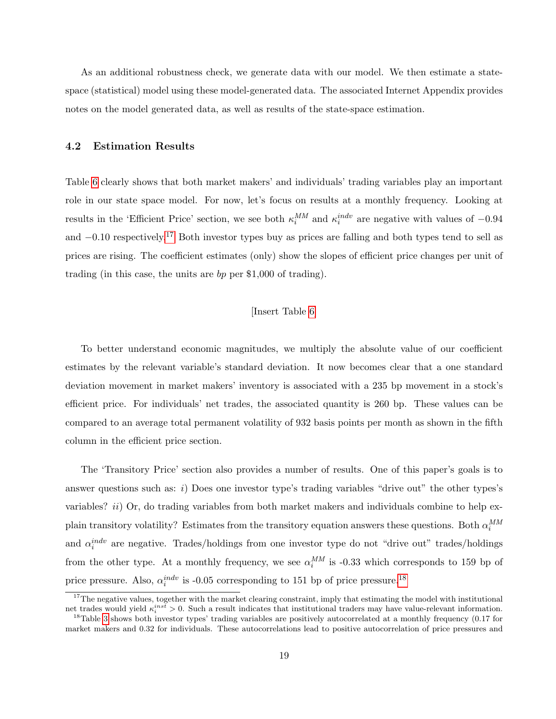As an additional robustness check, we generate data with our model. We then estimate a statespace (statistical) model using these model-generated data. The associated Internet Appendix provides notes on the model generated data, as well as results of the state-space estimation.

#### 4.2 Estimation Results

Table [6](#page-33-0) clearly shows that both market makers' and individuals' trading variables play an important role in our state space model. For now, let's focus on results at a monthly frequency. Looking at results in the 'Efficient Price' section, we see both  $\kappa_i^{MM}$  and  $\kappa_i^{indv}$  are negative with values of  $-0.94$ and −0.10 respectively.[17](#page-19-0) Both investor types buy as prices are falling and both types tend to sell as prices are rising. The coefficient estimates (only) show the slopes of efficient price changes per unit of trading (in this case, the units are bp per \$1,000 of trading).

#### [Insert Table [6\]](#page-33-0)

To better understand economic magnitudes, we multiply the absolute value of our coefficient estimates by the relevant variable's standard deviation. It now becomes clear that a one standard deviation movement in market makers' inventory is associated with a 235 bp movement in a stock's efficient price. For individuals' net trades, the associated quantity is 260 bp. These values can be compared to an average total permanent volatility of 932 basis points per month as shown in the fifth column in the efficient price section.

The 'Transitory Price' section also provides a number of results. One of this paper's goals is to answer questions such as:  $i$ ) Does one investor type's trading variables "drive out" the other types's variables? *ii*) Or, do trading variables from both market makers and individuals combine to help explain transitory volatility? Estimates from the transitory equation answers these questions. Both  $\alpha_i^{MM}$ and  $\alpha_i^{indv}$  are negative. Trades/holdings from one investor type do not "drive out" trades/holdings from the other type. At a monthly frequency, we see  $\alpha_i^{MM}$  is -0.33 which corresponds to 159 bp of price pressure. Also,  $\alpha_i^{indv}$  is -0.05 corresponding to 151 bp of price pressure.<sup>[18](#page-19-1)</sup>

<span id="page-19-0"></span> $17$ The negative values, together with the market clearing constraint, imply that estimating the model with institutional net trades would yield  $\kappa_i^{inst} > 0$ . Such a result indicates that institutional traders may have value-relevant information. <sup>18</sup>Table [3](#page-30-0) shows both investor types' trading variables are positively autocorrelated at a monthly frequency  $(0.17$  for

<span id="page-19-1"></span>market makers and 0.32 for individuals. These autocorrelations lead to positive autocorrelation of price pressures and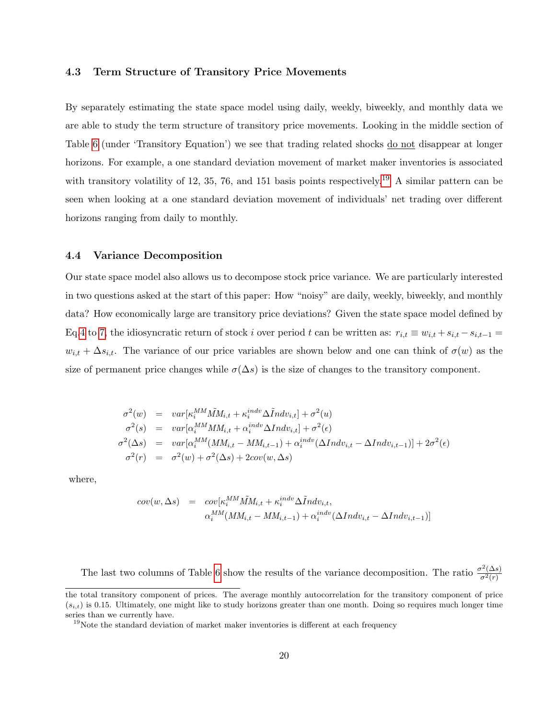#### 4.3 Term Structure of Transitory Price Movements

By separately estimating the state space model using daily, weekly, biweekly, and monthly data we are able to study the term structure of transitory price movements. Looking in the middle section of Table [6](#page-33-0) (under 'Transitory Equation') we see that trading related shocks do not disappear at longer horizons. For example, a one standard deviation movement of market maker inventories is associated with transitory volatility of 12, 35, 76, and 151 basis points respectively.<sup>[19](#page-20-0)</sup> A similar pattern can be seen when looking at a one standard deviation movement of individuals' net trading over different horizons ranging from daily to monthly.

#### 4.4 Variance Decomposition

Our state space model also allows us to decompose stock price variance. We are particularly interested in two questions asked at the start of this paper: How "noisy" are daily, weekly, biweekly, and monthly data? How economically large are transitory price deviations? Given the state space model defined by Eq[.4](#page-17-0) to [7,](#page-17-0) the idiosyncratic return of stock i over period t can be written as:  $r_{i,t} \equiv w_{i,t} + s_{i,t} - s_{i,t-1} =$  $w_{i,t} + \Delta s_{i,t}$ . The variance of our price variables are shown below and one can think of  $\sigma(w)$  as the size of permanent price changes while  $\sigma(\Delta s)$  is the size of changes to the transitory component.

$$
\sigma^2(w) = var[\kappa_i^{MM}\tilde{M}M_{i,t} + \kappa_i^{indv}\Delta\tilde{I}ndv_{i,t}] + \sigma^2(u)
$$
  
\n
$$
\sigma^2(s) = var[\alpha_i^{MM}M M_{i,t} + \alpha_i^{indv}\Delta Indv_{i,t}] + \sigma^2(\epsilon)
$$
  
\n
$$
\sigma^2(\Delta s) = var[\alpha_i^{MM}(M M_{i,t} - M M_{i,t-1}) + \alpha_i^{indv}(\Delta Indv_{i,t} - \Delta Indv_{i,t-1})] + 2\sigma^2(\epsilon)
$$
  
\n
$$
\sigma^2(r) = \sigma^2(w) + \sigma^2(\Delta s) + 2cov(w, \Delta s)
$$

where,

$$
cov(w, \Delta s) = cov[\kappa_i^{MM} \tilde{M} M_{i,t} + \kappa_i^{indv} \Delta \tilde{I} ndv_{i,t},
$$
  

$$
\alpha_i^{MM} (MM_{i,t} - MM_{i,t-1}) + \alpha_i^{indv} (\Delta Indv_{i,t} - \Delta Indv_{i,t-1})]
$$

The last two columns of Table [6](#page-33-0) show the results of the variance decomposition. The ratio  $\frac{\sigma^2(\Delta s)}{\sigma^2(r)}$  $\overline{\sigma^2(r)}$ 

the total transitory component of prices. The average monthly autocorrelation for the transitory component of price  $(s_{i,t})$  is 0.15. Ultimately, one might like to study horizons greater than one month. Doing so requires much longer time series than we currently have.

<span id="page-20-0"></span><sup>&</sup>lt;sup>19</sup>Note the standard deviation of market maker inventories is different at each frequency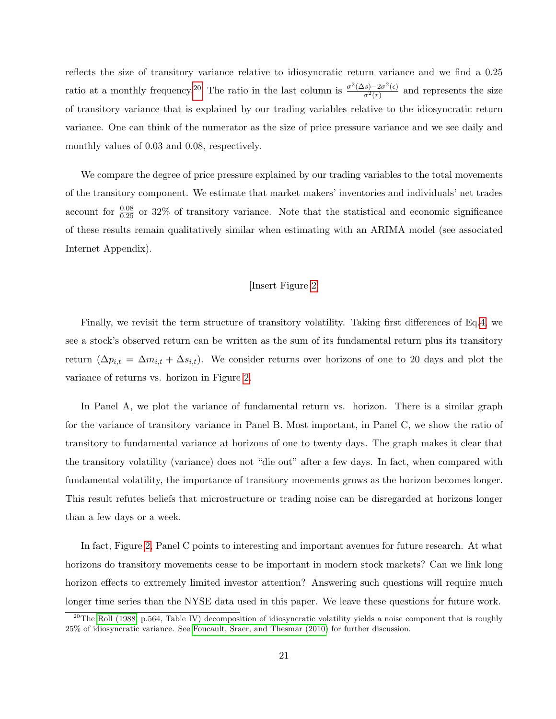reflects the size of transitory variance relative to idiosyncratic return variance and we find a 0.25 ratio at a monthly frequency.<sup>[20](#page-21-0)</sup> The ratio in the last column is  $\frac{\sigma^2(\Delta s)-2\sigma^2(\epsilon)}{\sigma^2(\kappa)}$  $\frac{(s)-2\sigma^2(\epsilon)}{\sigma^2(r)}$  and represents the size of transitory variance that is explained by our trading variables relative to the idiosyncratic return variance. One can think of the numerator as the size of price pressure variance and we see daily and monthly values of 0.03 and 0.08, respectively.

We compare the degree of price pressure explained by our trading variables to the total movements of the transitory component. We estimate that market makers' inventories and individuals' net trades account for  $\frac{0.08}{0.25}$  or 32% of transitory variance. Note that the statistical and economic significance of these results remain qualitatively similar when estimating with an ARIMA model (see associated Internet Appendix).

#### [Insert Figure [2\]](#page-35-0)

Finally, we revisit the term structure of transitory volatility. Taking first differences of Eq[.4,](#page-17-0) we see a stock's observed return can be written as the sum of its fundamental return plus its transitory return  $(\Delta p_{i,t} = \Delta m_{i,t} + \Delta s_{i,t})$ . We consider returns over horizons of one to 20 days and plot the variance of returns vs. horizon in Figure [2.](#page-35-0)

In Panel A, we plot the variance of fundamental return vs. horizon. There is a similar graph for the variance of transitory variance in Panel B. Most important, in Panel C, we show the ratio of transitory to fundamental variance at horizons of one to twenty days. The graph makes it clear that the transitory volatility (variance) does not "die out" after a few days. In fact, when compared with fundamental volatility, the importance of transitory movements grows as the horizon becomes longer. This result refutes beliefs that microstructure or trading noise can be disregarded at horizons longer than a few days or a week.

In fact, Figure [2,](#page-35-0) Panel C points to interesting and important avenues for future research. At what horizons do transitory movements cease to be important in modern stock markets? Can we link long horizon effects to extremely limited investor attention? Answering such questions will require much longer time series than the NYSE data used in this paper. We leave these questions for future work.

<span id="page-21-0"></span><sup>&</sup>lt;sup>20</sup>The [Roll \(1988,](#page-25-3) p.564, Table IV) decomposition of idiosyncratic volatility yields a noise component that is roughly 25% of idiosyncratic variance. See [Foucault, Sraer, and Thesmar \(2010\)](#page-24-9) for further discussion.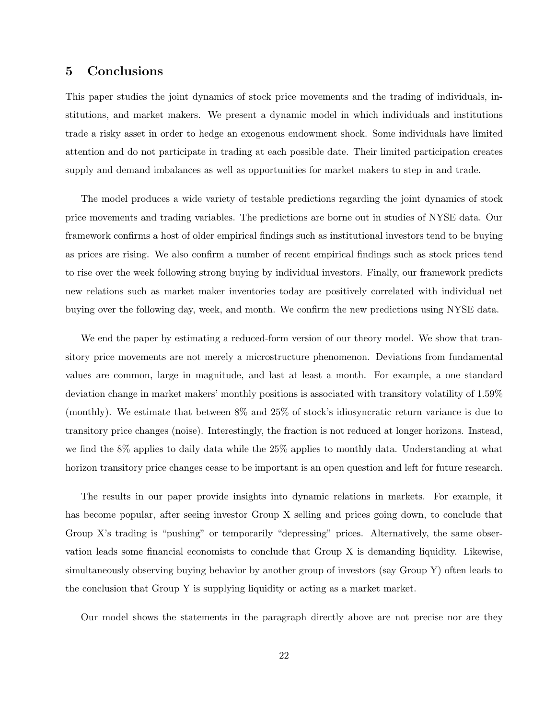## 5 Conclusions

This paper studies the joint dynamics of stock price movements and the trading of individuals, institutions, and market makers. We present a dynamic model in which individuals and institutions trade a risky asset in order to hedge an exogenous endowment shock. Some individuals have limited attention and do not participate in trading at each possible date. Their limited participation creates supply and demand imbalances as well as opportunities for market makers to step in and trade.

The model produces a wide variety of testable predictions regarding the joint dynamics of stock price movements and trading variables. The predictions are borne out in studies of NYSE data. Our framework confirms a host of older empirical findings such as institutional investors tend to be buying as prices are rising. We also confirm a number of recent empirical findings such as stock prices tend to rise over the week following strong buying by individual investors. Finally, our framework predicts new relations such as market maker inventories today are positively correlated with individual net buying over the following day, week, and month. We confirm the new predictions using NYSE data.

We end the paper by estimating a reduced-form version of our theory model. We show that transitory price movements are not merely a microstructure phenomenon. Deviations from fundamental values are common, large in magnitude, and last at least a month. For example, a one standard deviation change in market makers' monthly positions is associated with transitory volatility of 1.59% (monthly). We estimate that between 8% and 25% of stock's idiosyncratic return variance is due to transitory price changes (noise). Interestingly, the fraction is not reduced at longer horizons. Instead, we find the 8% applies to daily data while the 25% applies to monthly data. Understanding at what horizon transitory price changes cease to be important is an open question and left for future research.

The results in our paper provide insights into dynamic relations in markets. For example, it has become popular, after seeing investor Group X selling and prices going down, to conclude that Group X's trading is "pushing" or temporarily "depressing" prices. Alternatively, the same observation leads some financial economists to conclude that Group X is demanding liquidity. Likewise, simultaneously observing buying behavior by another group of investors (say Group Y) often leads to the conclusion that Group Y is supplying liquidity or acting as a market market.

Our model shows the statements in the paragraph directly above are not precise nor are they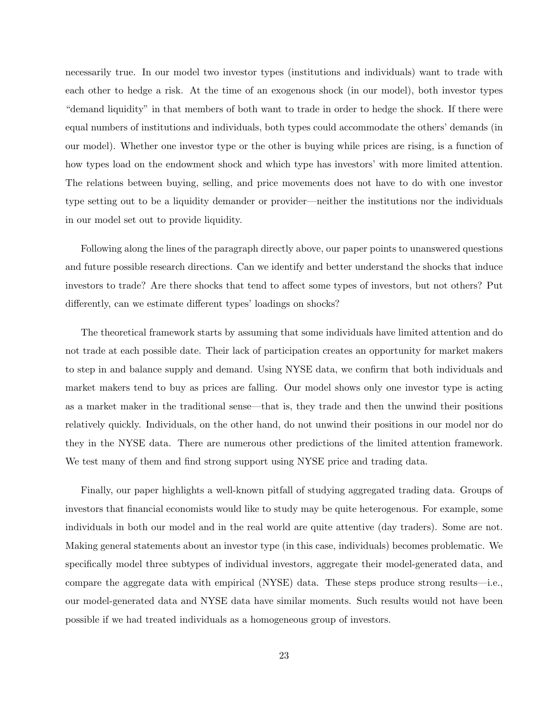necessarily true. In our model two investor types (institutions and individuals) want to trade with each other to hedge a risk. At the time of an exogenous shock (in our model), both investor types "demand liquidity" in that members of both want to trade in order to hedge the shock. If there were equal numbers of institutions and individuals, both types could accommodate the others' demands (in our model). Whether one investor type or the other is buying while prices are rising, is a function of how types load on the endowment shock and which type has investors' with more limited attention. The relations between buying, selling, and price movements does not have to do with one investor type setting out to be a liquidity demander or provider—neither the institutions nor the individuals in our model set out to provide liquidity.

Following along the lines of the paragraph directly above, our paper points to unanswered questions and future possible research directions. Can we identify and better understand the shocks that induce investors to trade? Are there shocks that tend to affect some types of investors, but not others? Put differently, can we estimate different types' loadings on shocks?

The theoretical framework starts by assuming that some individuals have limited attention and do not trade at each possible date. Their lack of participation creates an opportunity for market makers to step in and balance supply and demand. Using NYSE data, we confirm that both individuals and market makers tend to buy as prices are falling. Our model shows only one investor type is acting as a market maker in the traditional sense—that is, they trade and then the unwind their positions relatively quickly. Individuals, on the other hand, do not unwind their positions in our model nor do they in the NYSE data. There are numerous other predictions of the limited attention framework. We test many of them and find strong support using NYSE price and trading data.

Finally, our paper highlights a well-known pitfall of studying aggregated trading data. Groups of investors that financial economists would like to study may be quite heterogenous. For example, some individuals in both our model and in the real world are quite attentive (day traders). Some are not. Making general statements about an investor type (in this case, individuals) becomes problematic. We specifically model three subtypes of individual investors, aggregate their model-generated data, and compare the aggregate data with empirical (NYSE) data. These steps produce strong results—i.e., our model-generated data and NYSE data have similar moments. Such results would not have been possible if we had treated individuals as a homogeneous group of investors.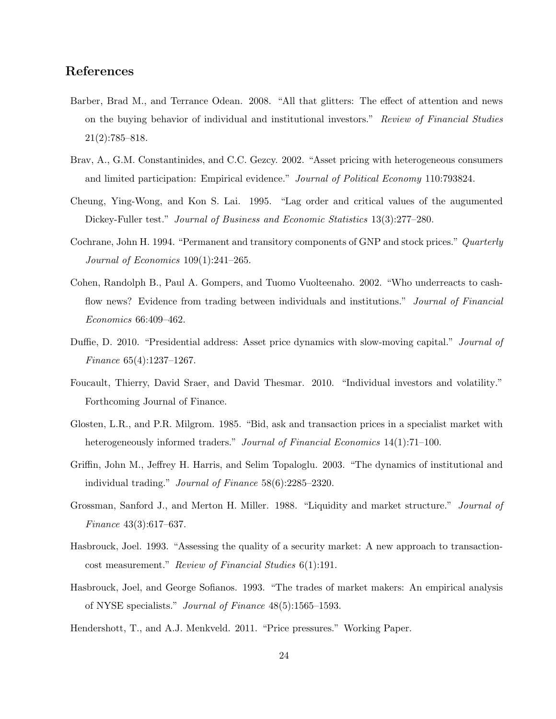## References

- <span id="page-24-2"></span>Barber, Brad M., and Terrance Odean. 2008. "All that glitters: The effect of attention and news on the buying behavior of individual and institutional investors." Review of Financial Studies 21(2):785–818.
- <span id="page-24-3"></span>Brav, A., G.M. Constantinides, and C.C. Gezcy. 2002. "Asset pricing with heterogeneous consumers and limited participation: Empirical evidence." Journal of Political Economy 110:793824.
- Cheung, Ying-Wong, and Kon S. Lai. 1995. "Lag order and critical values of the augumented Dickey-Fuller test." Journal of Business and Economic Statistics 13(3):277–280.
- <span id="page-24-1"></span>Cochrane, John H. 1994. "Permanent and transitory components of GNP and stock prices." Quarterly Journal of Economics 109(1):241–265.
- <span id="page-24-5"></span>Cohen, Randolph B., Paul A. Gompers, and Tuomo Vuolteenaho. 2002. "Who underreacts to cashflow news? Evidence from trading between individuals and institutions." Journal of Financial Economics 66:409–462.
- <span id="page-24-0"></span>Duffie, D. 2010. "Presidential address: Asset price dynamics with slow-moving capital." Journal of Finance 65(4):1237–1267.
- <span id="page-24-9"></span>Foucault, Thierry, David Sraer, and David Thesmar. 2010. "Individual investors and volatility." Forthcoming Journal of Finance.
- <span id="page-24-8"></span>Glosten, L.R., and P.R. Milgrom. 1985. "Bid, ask and transaction prices in a specialist market with heterogeneously informed traders." Journal of Financial Economics 14(1):71–100.
- <span id="page-24-4"></span>Griffin, John M., Jeffrey H. Harris, and Selim Topaloglu. 2003. "The dynamics of institutional and individual trading." Journal of Finance 58(6):2285–2320.
- Grossman, Sanford J., and Merton H. Miller. 1988. "Liquidity and market structure." Journal of Finance 43(3):617–637.
- Hasbrouck, Joel. 1993. "Assessing the quality of a security market: A new approach to transactioncost measurement." Review of Financial Studies 6(1):191.
- <span id="page-24-6"></span>Hasbrouck, Joel, and George Sofianos. 1993. "The trades of market makers: An empirical analysis of NYSE specialists." Journal of Finance 48(5):1565–1593.
- <span id="page-24-7"></span>Hendershott, T., and A.J. Menkveld. 2011. "Price pressures." Working Paper.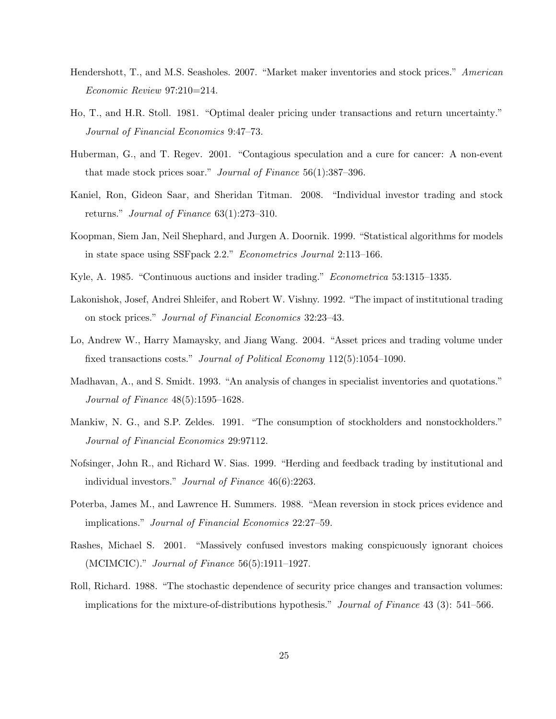- <span id="page-25-8"></span>Hendershott, T., and M.S. Seasholes. 2007. "Market maker inventories and stock prices." American Economic Review 97:210=214.
- Ho, T., and H.R. Stoll. 1981. "Optimal dealer pricing under transactions and return uncertainty." Journal of Financial Economics 9:47–73.
- <span id="page-25-1"></span>Huberman, G., and T. Regev. 2001. "Contagious speculation and a cure for cancer: A non-event that made stock prices soar." Journal of Finance  $56(1)$ :387-396.
- <span id="page-25-9"></span>Kaniel, Ron, Gideon Saar, and Sheridan Titman. 2008. "Individual investor trading and stock returns." *Journal of Finance*  $63(1):273-310$ .
- <span id="page-25-12"></span>Koopman, Siem Jan, Neil Shephard, and Jurgen A. Doornik. 1999. "Statistical algorithms for models in state space using SSFpack 2.2." Econometrics Journal 2:113–166.
- <span id="page-25-11"></span><span id="page-25-5"></span>Kyle, A. 1985. "Continuous auctions and insider trading." Econometrica 53:1315–1335.
- Lakonishok, Josef, Andrei Shleifer, and Robert W. Vishny. 1992. "The impact of institutional trading on stock prices." Journal of Financial Economics 32:23–43.
- <span id="page-25-10"></span>Lo, Andrew W., Harry Mamaysky, and Jiang Wang. 2004. "Asset prices and trading volume under fixed transactions costs." Journal of Political Economy 112(5):1054-1090.
- <span id="page-25-7"></span>Madhavan, A., and S. Smidt. 1993. "An analysis of changes in specialist inventories and quotations." Journal of Finance 48(5):1595–1628.
- <span id="page-25-4"></span>Mankiw, N. G., and S.P. Zeldes. 1991. "The consumption of stockholders and nonstockholders." Journal of Financial Economics 29:97112.
- <span id="page-25-6"></span>Nofsinger, John R., and Richard W. Sias. 1999. "Herding and feedback trading by institutional and individual investors." Journal of Finance 46(6):2263.
- <span id="page-25-2"></span>Poterba, James M., and Lawrence H. Summers. 1988. "Mean reversion in stock prices evidence and implications." Journal of Financial Economics 22:27–59.
- <span id="page-25-0"></span>Rashes, Michael S. 2001. "Massively confused investors making conspicuously ignorant choices (MCIMCIC)." Journal of Finance 56(5):1911–1927.
- <span id="page-25-3"></span>Roll, Richard. 1988. "The stochastic dependence of security price changes and transaction volumes: implications for the mixture-of-distributions hypothesis." Journal of Finance  $43$  (3):  $541-566$ .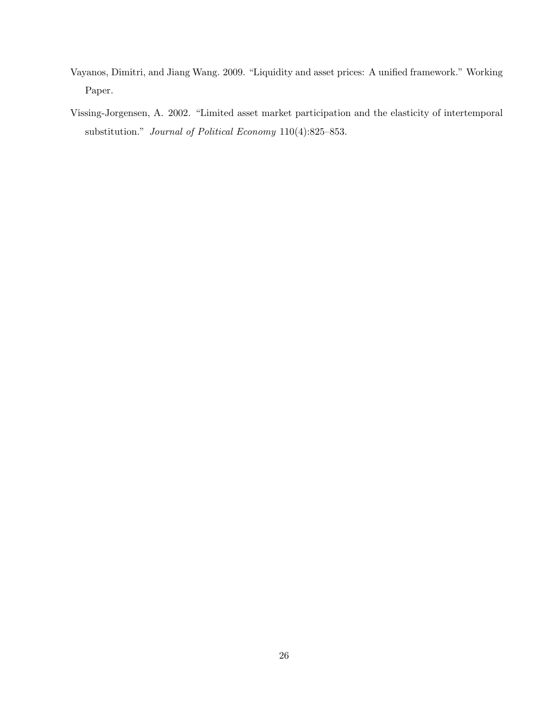- <span id="page-26-1"></span>Vayanos, Dimitri, and Jiang Wang. 2009. "Liquidity and asset prices: A unified framework." Working Paper.
- <span id="page-26-0"></span>Vissing-Jorgensen, A. 2002. "Limited asset market participation and the elasticity of intertemporal substitution." Journal of Political Economy 110(4):825–853.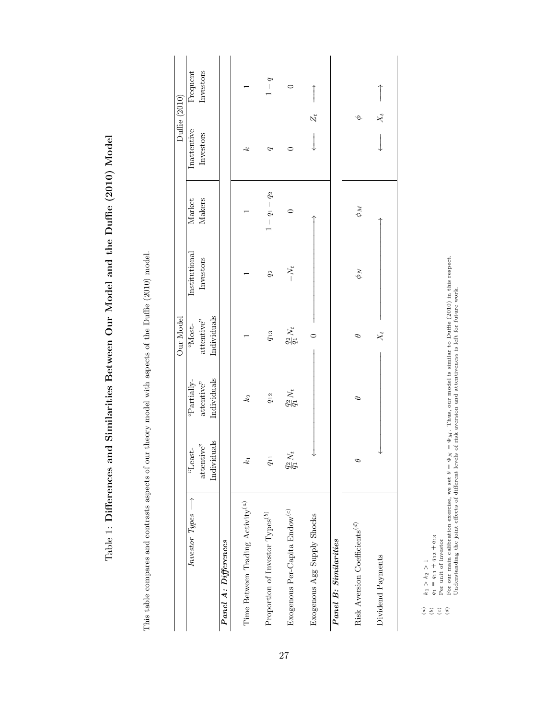<span id="page-27-0"></span>

| $\ddot{\phantom{0}}$                                                                                                             |
|----------------------------------------------------------------------------------------------------------------------------------|
| ו<br>ל<br>ı                                                                                                                      |
| $\frac{1}{2}$<br>֖֖֧֧֧֧֧֧֧֧֧֧֧֧֧֧֛֧֧֛֛֛֛֛֛֛֛֛֪֛֡֘֝֬֓֝֓֓֝֬֓֝֓֝֓֝֬֝֓֝֬֝֓֝֬֓֝֬֝֓֝֬֓֝֬֓֝֬֝֬֓֝֬֓֝֬֝֬֝֬֝֬֝֬֝֬֝֬֝֬֝֬֝֬֝֬֝֬֝֟֓֟֬֝֬֝֜֜֜֝֟ |
| ا<br>ا                                                                                                                           |
| i<br>1<br>$+$ $\frac{1}{2}$                                                                                                      |
| i<br>l                                                                                                                           |
| <b>Contract of the Second Second Second</b><br>;<br>;<br>)                                                                       |
| ĺ                                                                                                                                |
| <b>Property</b> Contracts                                                                                                        |
| )<br> <br>                                                                                                                       |
| $\frac{1}{2}$<br>؟<br>أ                                                                                                          |
|                                                                                                                                  |
| $\frac{5}{1}$<br>l                                                                                                               |

This table compares and contrasts aspects of our theory model with aspects of the Duffie (2010) model. This table compares and contrasts aspects of our theory model with aspects of the Duffie (2010) model.

|                                                        |                      |                      | Our Model            |               |                 | Duffie (2010) |           |
|--------------------------------------------------------|----------------------|----------------------|----------------------|---------------|-----------------|---------------|-----------|
| $Investor Types \longrightarrow$                       | "Least-              | "Partially-          | "Most-               | Institutional | Market          | Inattentive   | Frequent  |
|                                                        | attentive"           | attentive"           | attentive"           | Investors     | Makers          | Investors     | Investors |
|                                                        | Individuals          | Individuals          | Individuals          |               |                 |               |           |
| Panel A: Differences                                   |                      |                      |                      |               |                 |               |           |
|                                                        |                      |                      |                      |               |                 |               |           |
| Time Between Trading Activity <sup>(a)</sup>           | $\mathbb{C}$         | $k_2$                |                      |               |                 | يمه           |           |
|                                                        |                      |                      |                      |               |                 |               |           |
| Proportion of Investor Types ${}^{(b)}$                | $q_{11}$             | $q_{12}$             | $q_{\rm 13}$         | $q_2$         | $1 - q_1 - q_2$ |               | $b-1$     |
| Exogenous Per-Capita Endow <sup>(c)</sup>              | $\frac{q_2}{q_1}N_t$ | $\frac{q_2}{q_1}N_t$ | $\frac{q_2}{q_1}N_t$ | $-N_t$        | 0               | C             | $\circ$   |
|                                                        |                      |                      |                      |               |                 |               |           |
| Exogenous Agg Supply Shocks                            |                      |                      | $\circ$              |               |                 | $Z_t$         |           |
|                                                        |                      |                      |                      |               |                 |               |           |
| <b>Panel B: Similarities</b>                           |                      |                      |                      |               |                 |               |           |
|                                                        |                      |                      |                      |               |                 |               |           |
| Risk Aversion Coefficients <sup>(<math>d</math>)</sup> | Ф                    | Ф                    | Ф                    | $\phi_N$      | $\phi_M$        | Θ             |           |
|                                                        |                      |                      |                      |               |                 |               |           |
| Dividend Payments                                      |                      |                      | $X_t$                |               |                 | $X_t$         |           |
|                                                        |                      |                      |                      |               |                 |               |           |

(b)  $q_1 \equiv q_{11} + q_{12} + q_{13}$ <br>(c)  $\qquad \qquad \therefore$ 

(c) Per unit of investor

(a)  $k_1 > k_2 > 1$ <br>
(b)  $q_1 \equiv q_{11} + q_{12} + q_{13}$ <br>
(c)  $q_2 \equiv q_{11} + q_{12} + q_{13}$ <br>
(c)  $q_3 \equiv q_{11} + q_{12} + q_{13}$ <br>
(d)  $q_4 \equiv q_{11} + q_{12} + q_{13}$ <br>
(d)  $q_5 \equiv q_{12} + q_{13}$ <br>
(d)  $q_6 \equiv q_{13} + q_{14} + q_{15}$ <br>
(d)  $q_7 \equiv q_{14} + q_{15}$ <br>
(d) (d) For our main calibration exercise, we set  $\theta = \Phi_M = \Phi_M$ . Thus, our model is similar to Duffie (2010) in this respect.<br>Indeveneding the ioint effects of different levels of risk assession and attentionness is left for f Understanding the joint effects of different levels of risk aversion and attentiveness is left for future work.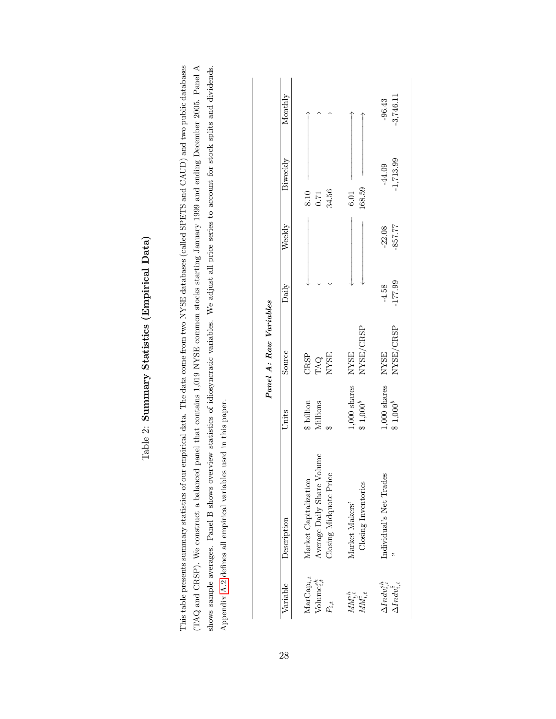| ſ                  |
|--------------------|
| ı<br>ĺ             |
| $\frac{1}{2}$<br>ζ |
| ;<br>;<br>้        |
| í<br>I             |

<span id="page-28-0"></span>This table presents summary statistics of our empirical data. The data come from two NYSE databases (called SPETS and CAUD) and two public databases (TAQ and CRSP). We construct a balanced panel that contains 1,019 NYSE common stocks starting January 1999 and ending December 2005. Panel A shows sample averages. Panel B shows overview statistics of idiosyncratic variables. We adjust all price series to account for stock splits and dividends. This table presents summary statistics of our empirical data. The data come from two NYSE databases (called SPETS and CAUD) and two public databases (TAQ and CRSP). We construct a balanced panel that contains 1,019 NYSE common stocks starting January 1999 and ending December 2005. Panel A shows sample averages. Panel B shows overview statistics of idiosyncratic variables. We adjust all price series to account for stock splits and dividends. Appendix A.2 defines all empirical variables used in this paper. Appendix [A.2](#page-38-0) defines all empirical variables used in this paper.

|                        | Monthly              |                                                                               |                                       | $-3,746.11$<br>$-96.43$                              |
|------------------------|----------------------|-------------------------------------------------------------------------------|---------------------------------------|------------------------------------------------------|
|                        | Biweekly             | 34.56<br>0.71<br>8.10                                                         | 168.59<br>6.01                        | $-1,713.99$<br>$-44.09$                              |
|                        | Weekly               |                                                                               |                                       | -857.77<br>$-22.08$                                  |
|                        | Daily                |                                                                               |                                       | $-177.99$<br>$-4.58$                                 |
| Panel A: Raw Variables | Source               | CRSP<br>TAQ<br>NYSE                                                           | NYSE/CRSP<br><b>NYSE</b>              | NYSE/CRSP<br><b>NYSE</b>                             |
|                        | Units                | \$ billion<br>Millions                                                        | $1,000$ shares<br>$$1,000^b$          | 1,000 shares<br>$$1,000^b$                           |
|                        | Variable Description | Average Daily Share Volume<br>Closing Midquote Price<br>Market Capitalization | Closing Inventories<br>Market Makers' | Individual's Net Trades                              |
|                        |                      | $\text{MarCap}_{i,t}$<br>Volume $_{i,t}^{s,n}$<br>Ľ.,                         | $MM^n_{i,t}$<br>$MM_{i,t}^*$          | $\Delta Indv_{i,t}^{sh}$<br>$\Delta Indv_{i.t}^{\$}$ |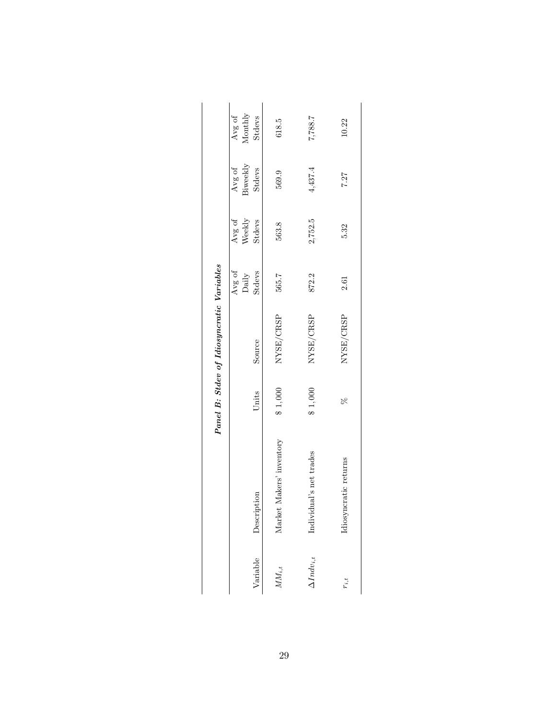|                                           | $\label{eq:nonlocal} \text{Monthly}$<br>Avg of | Stdevs          | 618.5                    | 7,887,7                 | 10.22                 |
|-------------------------------------------|------------------------------------------------|-----------------|--------------------------|-------------------------|-----------------------|
|                                           | Biweekly<br>Avg of                             | Stdevs          | 569.9                    | 4,437.4                 | 7.27                  |
|                                           | Weekly<br>Avg of                               | Stdevs          | 563.8                    | 2,752.5                 | 5.32                  |
|                                           | Avg of                                         | Daily<br>Stdevs | 565.7                    | 872.2                   | 2.61                  |
| Panel B: Stdev of Idiosyncratic Variables |                                                | Source          | NYSE/CRSP                | NYSE/CRSP               | NYSE/CRSP             |
|                                           |                                                | Units           | \$1,000                  | \$1,000                 | R                     |
|                                           |                                                | Description     | Market Makers' inventory | Individual's net trades | Idiosyncratic returns |
|                                           |                                                | Variable        | $MM_{i,t}$               | $\Delta Indv_{i,t}$     | $r_{i,t}$             |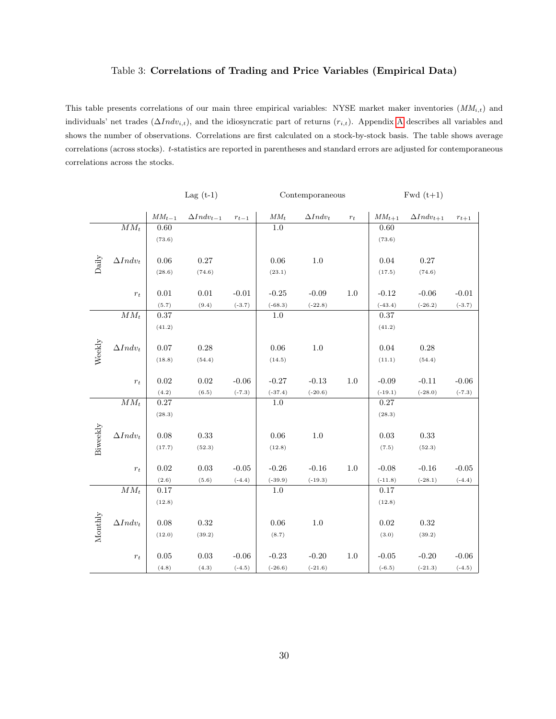#### Table 3: Correlations of Trading and Price Variables (Empirical Data)

<span id="page-30-0"></span>This table presents correlations of our main three empirical variables: NYSE market maker inventories  $(MM_{i,t})$  and individuals' net trades  $(\Delta Indv_{i,t})$ , and the idiosyncratic part of returns  $(r_{i,t})$ . [A](#page-36-0)ppendix A describes all variables and shows the number of observations. Correlations are first calculated on a stock-by-stock basis. The table shows average correlations (across stocks). t-statistics are reported in parentheses and standard errors are adjusted for contemporaneous correlations across the stocks.

|                |                            |                     | Lag $(t-1)$         |           |                            | Contemporaneous |                    |                     | $Fwd(t+1)$          |           |
|----------------|----------------------------|---------------------|---------------------|-----------|----------------------------|-----------------|--------------------|---------------------|---------------------|-----------|
|                |                            | $\mathit{MM}_{t-1}$ | $\Delta Indv_{t-1}$ | $r_{t-1}$ | $\mathcal{M}\mathcal{M}_t$ | $\Delta Indv_t$ | $\boldsymbol{r}_t$ | $\mathit{MM}_{t+1}$ | $\Delta Indv_{t+1}$ | $r_{t+1}$ |
|                | $MM_t$                     | 0.60                |                     |           | 1.0                        |                 |                    | 0.60                |                     |           |
|                |                            | (73.6)              |                     |           |                            |                 |                    | (73.6)              |                     |           |
|                |                            |                     |                     |           |                            |                 |                    |                     |                     |           |
| $_{\rm Daily}$ | $\Delta Indv_t$            | 0.06                | 0.27                |           | 0.06                       | 1.0             |                    | 0.04                | 0.27                |           |
|                |                            | (28.6)              | (74.6)              |           | (23.1)                     |                 |                    | (17.5)              | (74.6)              |           |
|                |                            |                     |                     |           |                            |                 |                    |                     |                     |           |
|                | $r_{t}$                    | $0.01\,$            | $0.01\,$            | $-0.01$   | $-0.25$                    | $-0.09$         | $1.0\,$            | $-0.12$             | $-0.06$             | $-0.01$   |
|                |                            | (5.7)               | (9.4)               | $(-3.7)$  | $(-68.3)$                  | $(-22.8)$       |                    | $(-43.4)$           | $(-26.2)$           | $(-3.7)$  |
|                | $\mathcal{M}\mathcal{M}_t$ | $0.37\,$            |                     |           | 1.0                        |                 |                    | $0.37\,$            |                     |           |
|                |                            | (41.2)              |                     |           |                            |                 |                    | (41.2)              |                     |           |
|                |                            |                     |                     |           |                            |                 |                    |                     |                     |           |
|                | $\Delta Indv_t$            | $0.07\,$            | 0.28                |           | 0.06                       | 1.0             |                    | 0.04                | 0.28                |           |
| Weekly         |                            | (18.8)              | (54.4)              |           | (14.5)                     |                 |                    | (11.1)              | (54.4)              |           |
|                |                            |                     |                     |           |                            |                 |                    |                     |                     |           |
|                | $r_t$                      | 0.02                | 0.02                | $-0.06$   | $-0.27$                    | $-0.13$         | 1.0                | $-0.09$             | $-0.11$             | $-0.06$   |
|                |                            | (4.2)               | (6.5)               | $(-7.3)$  | $(-37.4)$                  | $(-20.6)$       |                    | $(-19.1)$           | $(-28.0)$           | $(-7.3)$  |
|                | $MM_t$                     | $0.27\,$            |                     |           | $1.0\,$                    |                 |                    | $0.27\,$            |                     |           |
|                |                            | (28.3)              |                     |           |                            |                 |                    | (28.3)              |                     |           |
|                |                            |                     |                     |           |                            |                 |                    |                     |                     |           |
| Biweekly       | $\Delta Indv_t$            | 0.08                | 0.33                |           | $0.06\,$                   | $1.0\,$         |                    | 0.03                | $0.33\,$            |           |
|                |                            | (17.7)              | (52.3)              |           | (12.8)                     |                 |                    | (7.5)               | (52.3)              |           |
|                |                            |                     |                     |           |                            |                 |                    |                     |                     |           |
|                | $r_t$                      | 0.02                | 0.03                | $-0.05$   | $-0.26$                    | $-0.16$         | 1.0                | $-0.08$             | $-0.16$             | $-0.05$   |
|                |                            | (2.6)               | (5.6)               | $(-4.4)$  | $(-39.9)$                  | $(-19.3)$       |                    | $(-11.8)$           | $(-28.1)$           | $(-4.4)$  |
|                | $MM_t$                     | 0.17                |                     |           | 1.0                        |                 |                    | 0.17                |                     |           |
|                |                            | (12.8)              |                     |           |                            |                 |                    | (12.8)              |                     |           |
|                |                            |                     |                     |           |                            |                 |                    |                     |                     |           |
|                | $\Delta Indv_t$            | 0.08                | $\rm 0.32$          |           | 0.06                       | $1.0\,$         |                    | 0.02                | $\rm 0.32$          |           |
| $M$ onthly     |                            | (12.0)              | (39.2)              |           | (8.7)                      |                 |                    | (3.0)               | (39.2)              |           |
|                |                            |                     |                     |           |                            |                 |                    |                     |                     |           |
|                | $r_{\rm t}$                | 0.05                | 0.03                | $-0.06$   | $-0.23$                    | $-0.20$         | 1.0                | $-0.05$             | $-0.20$             | $-0.06$   |
|                |                            | (4.8)               | (4.3)               | $(-4.5)$  | $(-26.6)$                  | $(-21.6)$       |                    | $(-6.5)$            | $(-21.3)$           | $(-4.5)$  |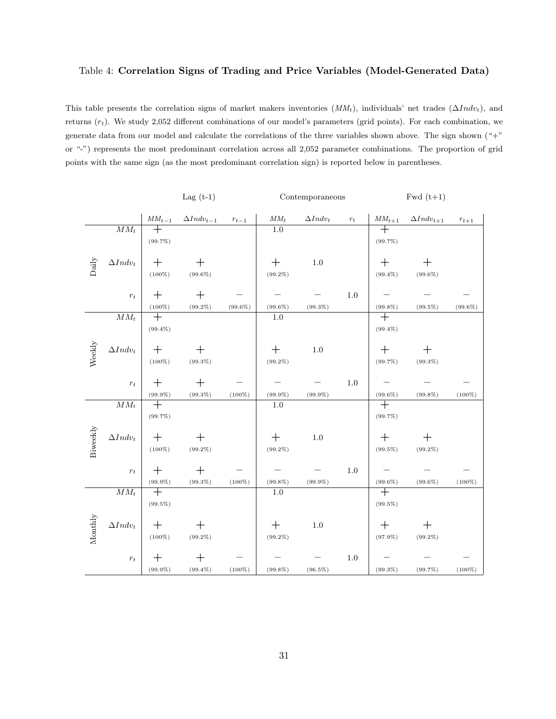#### <span id="page-31-0"></span>Table 4: Correlation Signs of Trading and Price Variables (Model-Generated Data)

This table presents the correlation signs of market makers inventories  $(MM_t)$ , individuals' net trades  $(\Delta Indv_t)$ , and returns  $(r_t)$ . We study 2,052 different combinations of our model's parameters (grid points). For each combination, we generate data from our model and calculate the correlations of the three variables shown above. The sign shown ("+" or "-") represents the most predominant correlation across all 2,052 parameter combinations. The proportion of grid points with the same sign (as the most predominant correlation sign) is reported below in parentheses.

|                |                            |                      | Lag $(t-1)$         |            |                   | Contemporaneous |         |                              | $Fwd(t+1)$          |            |
|----------------|----------------------------|----------------------|---------------------|------------|-------------------|-----------------|---------|------------------------------|---------------------|------------|
|                |                            | $MM_{t-1}$           | $\Delta Indv_{t-1}$ | $r_{t-1}$  | $MM_t$            | $\Delta Indv_t$ | $r_{t}$ | $MM_{t+1}$                   | $\Delta Indv_{t+1}$ | $r_{t+1}$  |
|                | $\mathcal{M}\mathcal{M}_t$ | $\hspace{0.1mm} +$   |                     |            | $1.0\,$           |                 |         | $^{+}$                       |                     |            |
|                |                            | $(99.7\%)$           |                     |            |                   |                 |         | $(99.7\%)$                   |                     |            |
|                |                            |                      |                     |            |                   |                 |         |                              |                     |            |
| $_{\rm Daily}$ | $\Delta Indv_t$            | $^{+}$               | $^{+}$              |            | $^{+}$            | 1.0             |         | $\mathrm{+}$                 | $\pm$               |            |
|                |                            | $(100\%)$            | $(99.6\%)$          |            | $(99.2\%)$        |                 |         | $(99.4\%)$                   | $(99.6\%)$          |            |
|                |                            |                      |                     |            |                   |                 |         |                              |                     |            |
|                | $r_t$                      | $\pm$                | $^{+}$              |            |                   |                 | 1.0     |                              |                     |            |
|                |                            | $(100\%)$            | $(99.2\%)$          | $(99.6\%)$ | $(99.6\%)$        | $(99.3\%)$      |         | $(99.8\%)$                   | $(99.5\%)$          | $(99.6\%)$ |
|                | $\mathcal{M}\mathcal{M}_t$ | $^{+}$               |                     |            | 1.0               |                 |         | $\overline{+}$               |                     |            |
|                |                            | $(99.4\%)$           |                     |            |                   |                 |         | $(99.4\%)$                   |                     |            |
|                |                            |                      |                     |            |                   |                 |         |                              |                     |            |
| Weekly         | $\Delta Indv_t$            | $+$                  | $^{+}$              |            | $\mathrm{+}$      | $1.0\,$         |         | $\pm$                        | $^{+}$              |            |
|                |                            | $(100\%)$            | $(99.3\%)$          |            | $(99.2\%)$        |                 |         | $(99.7\%)$                   | $(99.3\%)$          |            |
|                |                            |                      |                     |            |                   |                 |         |                              |                     |            |
|                | $r_{t}$                    | $^{+}$               | $\pm$               |            |                   |                 | $1.0\,$ |                              |                     |            |
|                |                            | $(99.9\%)$           | $(99.3\%)$          | $(100\%)$  | $(99.9\%)$        | $(99.9\%)$      |         | $(99.6\%)$                   | $(99.8\%)$          | $(100\%)$  |
|                | $MM_t$                     | $\overline{+}$       |                     |            | $1.0\,$           |                 |         | $\overline{+}$               |                     |            |
|                |                            | $(99.7\%)$           |                     |            |                   |                 |         | $(99.7\%)$                   |                     |            |
|                |                            |                      |                     |            |                   |                 |         |                              |                     |            |
| Biweekly       | $\Delta Indv_t$            | $+$                  | $\pm$               |            | $^{+}$            | $1.0\,$         |         | $^{+}$                       | $^{+}$              |            |
|                |                            | $(100\%)$            | $(99.2\%)$          |            | $(99.2\%)$        |                 |         | $(99.5\%)$                   | $(99.2\%)$          |            |
|                |                            |                      |                     |            |                   |                 |         |                              |                     |            |
|                | $r_t$                      | $\pm$                | $^{+}$              |            |                   |                 | 1.0     |                              |                     |            |
|                |                            |                      |                     | $(100\%)$  |                   |                 |         |                              |                     |            |
|                | $\mathcal{M}\mathcal{M}_t$ | $(99.9\%)$<br>$^{+}$ | $(99.3\%)$          |            | $(99.8\%)$<br>1.0 | $(99.9\%)$      |         | $(99.6\%)$<br>$\overline{+}$ | $(99.6\%)$          | $(100\%)$  |
|                |                            |                      |                     |            |                   |                 |         |                              |                     |            |
|                |                            | $(99.5\%)$           |                     |            |                   |                 |         | $(99.5\%)$                   |                     |            |
| Monthly        |                            |                      |                     |            |                   |                 |         |                              |                     |            |
|                | $\Delta Indv_t$            | $^{+}$               | $\hspace{0.1mm} +$  |            | $^{+}$            | $1.0\,$         |         | $\pm$                        | $\mathrm{+}$        |            |
|                |                            | $(100\%)$            | $(99.2\%)$          |            | $(99.2\%)$        |                 |         | $(97.9\%)$                   | $(99.2\%)$          |            |
|                |                            |                      |                     |            |                   |                 |         |                              |                     |            |
|                | $r_{\rm t}$                | $\pm$                | $\pm$               |            |                   |                 | 1.0     |                              |                     |            |
|                |                            | $(99.9\%)$           | $(99.4\%)$          | $(100\%)$  | $(99.8\%)$        | $(96.5\%)$      |         | $(99.3\%)$                   | $(99.7\%)$          | $(100\%)$  |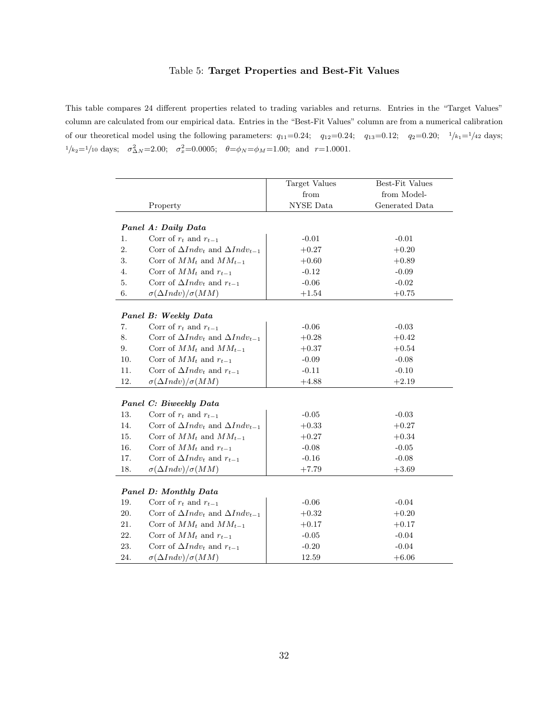#### Table 5: Target Properties and Best-Fit Values

<span id="page-32-0"></span>This table compares 24 different properties related to trading variables and returns. Entries in the "Target Values" column are calculated from our empirical data. Entries in the "Best-Fit Values" column are from a numerical calibration of our theoretical model using the following parameters:  $q_{11}=0.24$ ;  $q_{12}=0.24$ ;  $q_{13}=0.12$ ;  $q_{2}=0.20$ ;  $1/k_{1}=1/42$  days;  $1/k_2=1/10$  days;  $\sigma_{\Delta N}^2=2.00; \quad \sigma_x^2=0.0005; \quad \theta=\phi_N=\phi_M=1.00;$  and  $r=1.0001$ .

|          |                                                 | Target Values | Best-Fit Values |
|----------|-------------------------------------------------|---------------|-----------------|
|          |                                                 | from          | from Model-     |
|          | Property                                        | NYSE Data     | Generated Data  |
|          |                                                 |               |                 |
|          | Panel A: Daily Data                             |               |                 |
| 1.       | Corr of $r_t$ and $r_{t-1}$                     | $-0.01$       | $-0.01$         |
| 2.       | Corr of $\Delta Indv_t$ and $\Delta Indv_{t-1}$ | $+0.27$       | $+0.20$         |
| 3.       | Corr of $MM_t$ and $MM_{t-1}$                   | $+0.60$       | $+0.89$         |
| 4.       | Corr of $MM_t$ and $r_{t-1}$                    | $-0.12$       | $-0.09$         |
| 5.       | Corr of $\Delta Indv_t$ and $r_{t-1}$           | $-0.06$       | $-0.02$         |
| 6.       | $\sigma(\Delta Indv)/\sigma(MM)$                | $+1.54$       | $+0.75\,$       |
|          |                                                 |               |                 |
|          | Panel B: Weekly Data                            |               |                 |
| 7.       | Corr of $r_t$ and $r_{t-1}$                     | $-0.06$       | $-0.03$         |
| 8.       | Corr of $\Delta Indv_t$ and $\Delta Indv_{t-1}$ | $+0.28$       | $+0.42$         |
| 9.       | Corr of $MM_t$ and $MM_{t-1}$                   | $+0.37$       | $+0.54$         |
| 10.      | Corr of $MM_t$ and $r_{t-1}$                    | $-0.09$       | $-0.08$         |
| 11.      | Corr of $\Delta Indv_t$ and $r_{t-1}$           | $-0.11$       | $-0.10$         |
| 12.      | $\sigma(\Delta Indv)/\sigma(MM)$                | $+4.88$       | $+2.19$         |
|          |                                                 |               |                 |
|          | Panel C: Biweekly Data                          |               |                 |
| 13.      | Corr of $r_t$ and $r_{t-1}$                     | $-0.05$       | $-0.03$         |
| 14.      | Corr of $\Delta Indv_t$ and $\Delta Indv_{t-1}$ | $+0.33$       | $+0.27$         |
| 15.      | Corr of $MM_t$ and $MM_{t-1}$                   | $+0.27$       | $+0.34$         |
| 16.      | Corr of $MM_t$ and $r_{t-1}$                    | $-0.08$       | $-0.05$         |
| 17.      | Corr of $\Delta Indv_t$ and $r_{t-1}$           | $-0.16$       | $-0.08$         |
| 18.      | $\sigma(\Delta Indv)/\sigma(MM)$                | $+7.79$       | $+3.69$         |
|          |                                                 |               |                 |
|          | Panel D: Monthly Data                           |               |                 |
| 19.      | Corr of $r_t$ and $r_{t-1}$                     | $-0.06$       | $-0.04$         |
| 20.      | Corr of $\Delta Indv_t$ and $\Delta Indv_{t-1}$ | $+0.32$       | $+0.20$         |
| $21. \,$ | Corr of $MM_t$ and $MM_{t-1}$                   | $+0.17$       | $+0.17$         |
| $22. \,$ | Corr of $MM_t$ and $r_{t-1}$                    | $-0.05$       | $-0.04$         |
| 23.      | Corr of $\Delta Ind_{t}$ and $r_{t-1}$          | $-0.20$       | $-0.04$         |
| 24.      | $\sigma(\Delta Indv)/\sigma(MM)$                | 12.59         | $+6.06$         |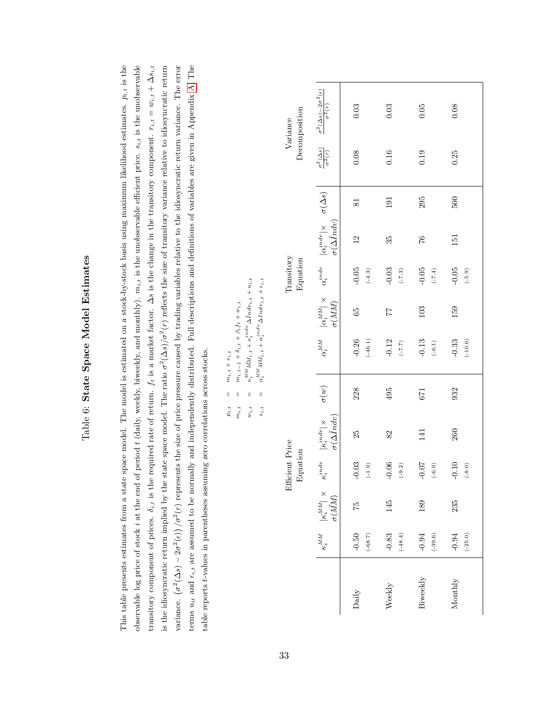| I<br>j           |
|------------------|
| $\overline{a}$   |
| ç<br>Í<br>ζ      |
| $+$ $+$ $+$<br>i |
| I<br>j           |

<span id="page-33-0"></span>This table presents estimates from a state space model. The model is estimated on a stock-by-stock basis using maximum likelihood estimates.  $p_{i,t}$  is the observable log price of stock *i* at the end of period *t* (daily, weekly, biweekly, and monthly).  $m_{i,t}$  is the unobservable efficient price.  $s_{i,t}$  is the unobservable transitory component of prices.  $\delta_{i,t}$  is the required rate of return.  $f_t$  is a market factor. As is the change in the transitory component.  $r_{i,t} = w_{i,t} + \Delta s_{i,t}$ is the idiosyncratic return implied by the state space model. The ratio  $\sigma^2(\Delta s)/\sigma^2(r)$  reflects the size of transitory variance relative to idiosyncratic return variance.  $(\sigma^2(\Delta s) - 2\sigma^2(\epsilon))/\sigma^2(r)$  represents the size of price pressure caused by trading variables relative to the idiosyncratic return variance. The error terms  $u_{it}$  and  $\epsilon_{i,t}$  are assumed to be normally and independently distributed. Full descriptions and definitions of variables are given in Appendix A. The This table presents estimates from a state space model. The model is estimated on a stock-by-stock basis using maximum likelihood estimates.  $p_{i,t}$  is the observable log price of stock i at the end of period t (daily, weekly, and monthly).  $m_{i,t}$  is the unobservable efficient price.  $s_{i,t}$  is the unobservable transitory component of prices.  $\delta_{i,t}$  is the required rate of return.  $f_t$  is a market factor.  $\Delta s$  is the change in the transitory component.  $r_{i,t} = w_{i,t} + \Delta s_{i,t}$ is the idiosyncratic return implied by the state space model. The ratio  $\sigma^2(\Delta s)/\sigma^2(r)$  reflects the size of transitory variance relative to idiosyncratic return variance.  $(\sigma^2(\Delta s) - 2\sigma^2(\epsilon))/\sigma^2(r)$  represents the size of price pressure caused by trading variables relative to the idiosyncratic return variance. The error terms  $u_{it}$  and  $\epsilon_{i,t}$  are assumed to be normally and independently distributed. Full descriptions and definitions of variables are given in Appendix [A.](#page-36-0) The table reports t-values in parentheses assuming zero correlations across stocks. table reports t-values in parentheses assuming zero correlations across stocks.

 $p_{i,t} = m_{i,t} + s_{i,t}$ 

 $\parallel$ 

 $m_{i,t}+s_{i,t}$ 

 $m_{i,t} = m_{i,t-1} + \delta_{i,t} + \beta_i f_t + w_{i,t}$ 

 $m_{i,t-1}+\delta_{i,t}+\beta_{i}f_{t}+w_{i,t}$ 

 $\frac{1}{2}$  $\bar{\parallel}$  $m_{i,t}$  $p_{\,i,\,t}$ 

|          |                      |                                                     |                             | $w_{i,\,t}$<br>$s_{\,i,\,t}$                                                                                 | $\parallel$<br>$\parallel$ | $\kappa_i^{MM} \tilde{M} M_i,_{t} + \kappa_i^{indv} \Delta \tilde{I} ndv_{i,t} + u_{i,t}$<br>$\alpha_i^{MM}M M_i,_{t}+\alpha_i^{indv} \Delta Indv_{i,t}+\epsilon_{i,t}$ |              |                        |                                                                                                                                      |     |                                          |                                                                    |
|----------|----------------------|-----------------------------------------------------|-----------------------------|--------------------------------------------------------------------------------------------------------------|----------------------------|-------------------------------------------------------------------------------------------------------------------------------------------------------------------------|--------------|------------------------|--------------------------------------------------------------------------------------------------------------------------------------|-----|------------------------------------------|--------------------------------------------------------------------|
|          |                      |                                                     | Efficient Price<br>Equation |                                                                                                              |                            |                                                                                                                                                                         |              | Transitory<br>Equation |                                                                                                                                      |     |                                          | Decomposition<br>Variance                                          |
|          | $\kappa_i^{MM}$      | $\frac{ \kappa_i^{MM} }{\sigma(\tilde{MM})} \times$ |                             | $\sigma(\Delta\tilde{I}ndv)$<br>$\left. \kappa_i^{indv} \quad \left  \kappa_i^{indv} \right  \times \right.$ | $\sigma(w)$                | $\alpha_i^{MM}$                                                                                                                                                         | $\sigma(MM)$ |                        | $ \alpha_i^{MM}  \times \quad \alpha_i^{indv} \quad  \alpha_i^{indv}  \times \quad \sigma(\Delta s)$<br>$\sigma(\Delta \hat{I} ndv)$ |     | $\frac{\sigma^2(\Delta s)}{\sigma^2(r)}$ | $\frac{\sigma^2 (\Delta s) - 2 \sigma^2 (\epsilon)}{\sigma^2 (r)}$ |
| Daily    | $-0.50$<br>$(-68.7)$ | 75                                                  | $-0.03$<br>$(-1.9)$         | 25                                                                                                           | 228                        | $-0.26$<br>$(-46.1)$                                                                                                                                                    | 65           | $-0.05$<br>$(-4.3)$    | 12                                                                                                                                   | 81  | 0.08                                     | 0.03                                                               |
| Weekly   | $(-48.4)$<br>$-0.83$ | 145                                                 | $-0.06$<br>$(-9.2)$         | 82                                                                                                           | 495                        | $-0.12$<br>$(7.7)$                                                                                                                                                      | 77           | $-0.03$<br>$(-7.3)$    | 35                                                                                                                                   | 191 | 0.16                                     | 0.03                                                               |
| Biweekly | $(-39.6)$<br>$-0.94$ | 189                                                 | $-0.07$<br>$(-6.9)$         | 141                                                                                                          | 671                        | $-0.13$<br>$(-6.1)$                                                                                                                                                     | 103          | $-0.05$<br>$(-7.4)$    | 92                                                                                                                                   | 295 | 0.19                                     | 0.05                                                               |
| Monthly  | $-0.94$<br>$(-25.0)$ | 235                                                 | $-0.10$<br>$(-8.0)$         | 260                                                                                                          | 932                        | $-0.33$<br>$(-10.6)$                                                                                                                                                    | 159          | $-0.05$<br>$(-5.9)$    | 151                                                                                                                                  | 500 | 0.25                                     | 0.08                                                               |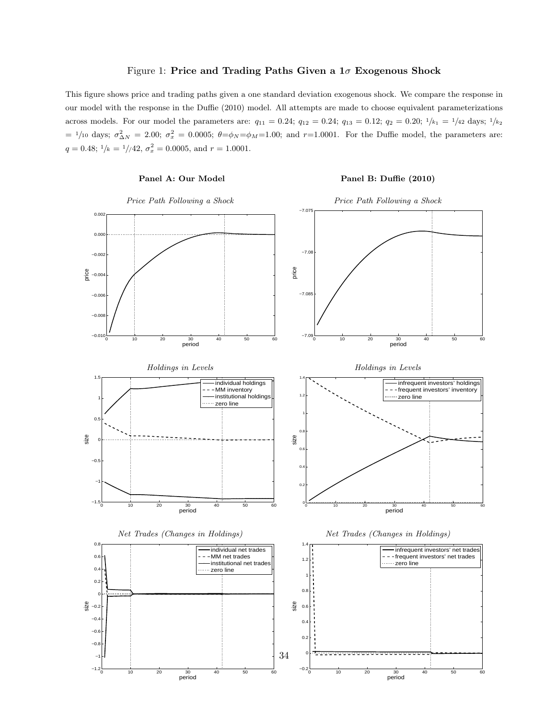#### Figure 1: Price and Trading Paths Given a  $1\sigma$  Exogenous Shock

<span id="page-34-0"></span>This figure shows price and trading paths given a one standard deviation exogenous shock. We compare the response in our model with the response in the Duffie (2010) model. All attempts are made to choose equivalent parameterizations across models. For our model the parameters are:  $q_{11} = 0.24$ ;  $q_{12} = 0.24$ ;  $q_{13} = 0.12$ ;  $q_2 = 0.20$ ;  $1/k_1 = 1/42$  days;  $1/k_2$  $= 1/10$  days;  $\sigma_{\Delta N}^2 = 2.00$ ;  $\sigma_x^2 = 0.0005$ ;  $\theta = \phi_N = \phi_M = 1.00$ ; and  $r = 1.0001$ . For the Duffie model, the parameters are:  $q = 0.48; \frac{1}{k} = \frac{1}{42}, \sigma_x^2 = 0.0005, \text{ and } r = 1.0001.$ 

#### Panel A: Our Model Panel B: Duffie (2010) Price Path Following a Shock Price Path Following a Shock 0 10 20 30 40 50 60 period  $-0.01$  $-0.00$  $-0.00$ e<br>a −0.004 −0.002  $0.00$  0.002 0 10 20 30 40 50 60 period −7.09 −7.085 −7.08 −7.075 price Holdings in Levels Holdings in Levels 0 10 20 30 40 50 60 period −1.5 −1 −0.5 0  $\mathbf{0}$ 1 1.5 size individual holdings - MM inventory institutional holding zero line 0 10 20 30 40 50 60<br>**period** 0  $0.2$  $\mathbf{0}$  $\overline{0}$ 0.8 1 1.2 1.4 size infrequent investors' holdings frequent investors' inventory zero line Net Trades (Changes in Holdings) Net Trades (Changes in Holdings) −1 −0.8 −0.6 −0.4  $\frac{18}{9}$  –0.2 0  $0.2$ 0.4  $0.6$  $\overline{0}$ . individual net trades MM net trades institutional net tra zero line 0  $\overline{O}$  $\overline{0}$ .  $0.6$ 0.8 1 1.2 1.4 size infrequent investors' net trades - frequent investors' net trades zero line 34

−0.2

0 10 20 30 40 50 60 period

0 10 20 30 40 50 60 period

 $-1.2\frac{1}{0}$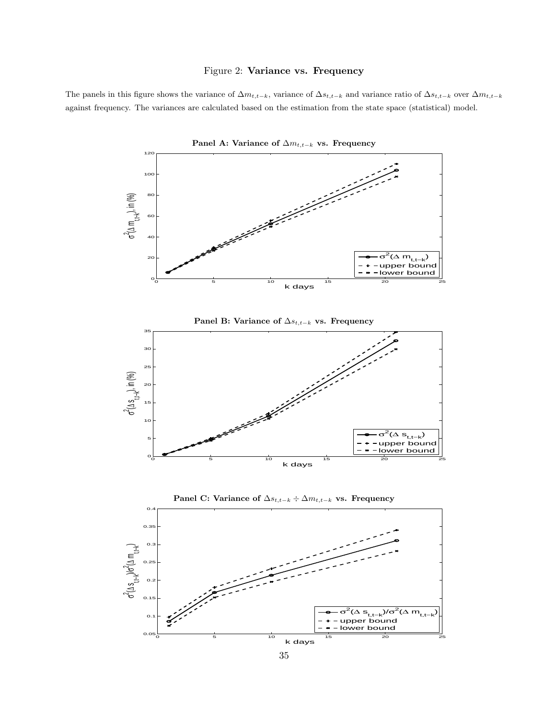#### Figure 2: Variance vs. Frequency

<span id="page-35-0"></span>The panels in this figure shows the variance of  $\Delta m_{t,t-k}$ , variance of  $\Delta s_{t,t-k}$  and variance ratio of  $\Delta s_{t,t-k}$  over  $\Delta m_{t,t-k}$ against frequency. The variances are calculated based on the estimation from the state space (statistical) model.

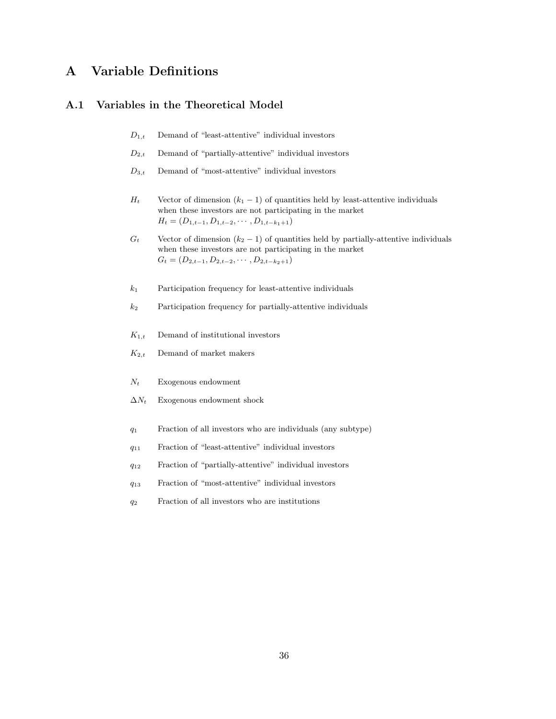## <span id="page-36-0"></span>A Variable Definitions

### A.1 Variables in the Theoretical Model

- $D_{1,t}$  Demand of "least-attentive" individual investors
- $D_{2,t}$  Demand of "partially-attentive" individual investors
- $D_{3,t}$  Demand of "most-attentive" individual investors
- $H_t$  Vector of dimension  $(k_1 1)$  of quantities held by least-attentive individuals when these investors are not participating in the market  $H_t = (D_{1,t-1}, D_{1,t-2}, \cdots, D_{1,t-k_1+1})$
- $G_t$  Vector of dimension  $(k_2 1)$  of quantities held by partially-attentive individuals when these investors are not participating in the market  $G_t = (D_{2,t-1}, D_{2,t-2}, \cdots, D_{2,t-k_2+1})$
- $k_1$  Participation frequency for least-attentive individuals
- $k_2$  Participation frequency for partially-attentive individuals
- $K_{1,t}$  Demand of institutional investors
- $K_{2,t}$  Demand of market makers
- $N_t$  Exogenous endowment
- $\Delta N_t$  Exogenous endowment shock
- $q_1$  Fraction of all investors who are individuals (any subtype)
- q<sup>11</sup> Fraction of "least-attentive" individual investors
- q<sup>12</sup> Fraction of "partially-attentive" individual investors
- q<sup>13</sup> Fraction of "most-attentive" individual investors
- $q_2$  Fraction of all investors who are institutions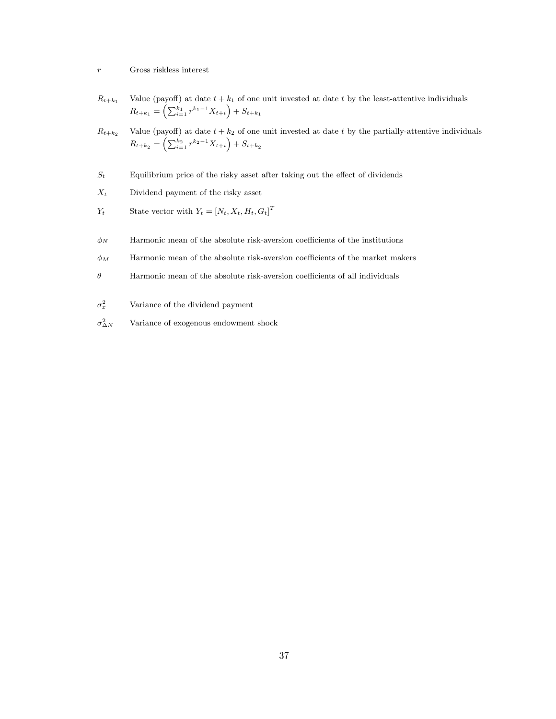#### $r$   $\qquad$  Gross riskless interest

- $R_{t+k_1}$  Value (payoff) at date  $t + k_1$  of one unit invested at date t by the least-attentive individuals  $R_{t+k_1} = \left(\sum_{i=1}^{k_1} r^{k_1-1} X_{t+i}\right) + S_{t+k_1}$
- $R_{t+k_2}$  Value (payoff) at date  $t + k_2$  of one unit invested at date t by the partially-attentive individuals  $R_{t+k_2} = \left(\sum_{i=1}^{k_2} r^{k_2-1} X_{t+i}\right) + S_{t+k_2}$
- $S_t$  Equilibrium price of the risky asset after taking out the effect of dividends
- $X_t$  Dividend payment of the risky asset
- $Y_t$  State vector with  $Y_t = [N_t, X_t, H_t, G_t]^T$
- $\phi_N$  Harmonic mean of the absolute risk-aversion coefficients of the institutions
- $\phi_M$  Harmonic mean of the absolute risk-aversion coefficients of the market makers
- $\theta$  Harmonic mean of the absolute risk-aversion coefficients of all individuals
- $\sigma_x^2$ <sup>x</sup> Variance of the dividend payment
- $\sigma^2_{\Delta}$ <sup>∆</sup><sup>N</sup> Variance of exogenous endowment shock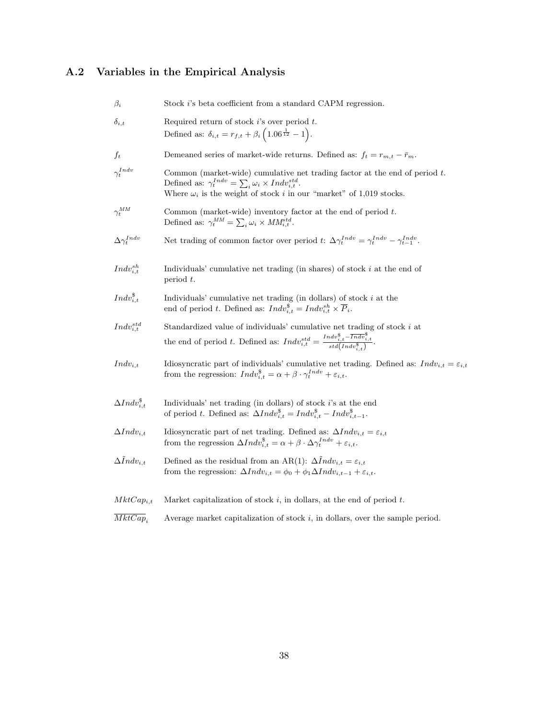# <span id="page-38-0"></span>A.2 Variables in the Empirical Analysis

| $\beta_i$                   | Stock i's beta coefficient from a standard CAPM regression.                                                                                                                                                                                |
|-----------------------------|--------------------------------------------------------------------------------------------------------------------------------------------------------------------------------------------------------------------------------------------|
| $\delta_{i,t}$              | Required return of stock $i$ 's over period $t$ .<br>Defined as: $\delta_{i,t} = r_{f,t} + \beta_i \left( 1.06^{\frac{1}{12}} - 1 \right)$ .                                                                                               |
| $f_t$                       | Demeaned series of market-wide returns. Defined as: $f_t = r_{m,t} - \bar{r}_m$ .                                                                                                                                                          |
| $\gamma_t^{Indv}$           | Common (market-wide) cumulative net trading factor at the end of period $t$ .<br>Defined as: $\gamma_t^{Indv} = \sum_i \omega_i \times Indv_{i,t}^{std}$ .<br>Where $\omega_i$ is the weight of stock $i$ in our "market" of 1,019 stocks. |
| $\gamma_t^{MM}$             | Common (market-wide) inventory factor at the end of period $t$ .<br>Defined as: $\gamma_t^{MM} = \sum_i \omega_i \times MM_{i,t}^{std}$ .                                                                                                  |
| $\Delta \gamma_t^{Indv}$    | Net trading of common factor over period t: $\Delta \gamma_t^{Indv} = \gamma_t^{Indv} - \gamma_{t-1}^{Indv}$ .                                                                                                                             |
| $Indv_{i,t}^{sh}$           | Individuals' cumulative net trading (in shares) of stock $i$ at the end of<br>period $t$ .                                                                                                                                                 |
| $Indv_{i,t}^{\$}$           | Individuals' cumulative net trading (in dollars) of stock $i$ at the<br>end of period t. Defined as: $Indv_{i,t}^{\$} = Indv_{i,t}^{sh} \times \overline{P}_i$ .                                                                           |
| $Indv_{i,t}^{std}$          | Standardized value of individuals' cumulative net trading of stock $i$ at<br>the end of period t. Defined as: $Indv_{i,t}^{std} = \frac{Indv_{i,t}^{s}}{std(Indv_{i,t}^{s})}$ .                                                            |
| $Indv_{i,t}$                | Idiosyncratic part of individuals' cumulative net trading. Defined as: $Indv_{i,t} = \varepsilon_{i,t}$<br>from the regression: $Indv_{i,t}^{\$} = \alpha + \beta \cdot \gamma_t^{Indv} + \varepsilon_{i,t}.$                              |
| $\Delta Indv_{i,t}^{\$}$    | Individuals' net trading (in dollars) of stock i's at the end<br>of period t. Defined as: $\Delta Indv_{i,t}^{\$} = Indv_{i,t}^{\$} - Indv_{i,t-1}^{\$}.$                                                                                  |
| $\Delta Indv_{i,t}$         | Idiosyncratic part of net trading. Defined as: $\Delta Indv_{i,t} = \varepsilon_{i,t}$<br>from the regression $\Delta Indv_{i,t}^{\$} = \alpha + \beta \cdot \Delta \gamma_t^{Indv} + \varepsilon_{i,t}.$                                  |
| $\Delta \tilde{I}ndv_{i,t}$ | Defined as the residual from an AR(1): $\Delta Indv_{i,t} = \varepsilon_{i,t}$<br>from the regression: $\Delta Indv_{i,t} = \phi_0 + \phi_1 \Delta Indv_{i,t-1} + \varepsilon_{i,t}$ .                                                     |
| $MktCap_{i,t}$              | Market capitalization of stock $i$ , in dollars, at the end of period $t$ .                                                                                                                                                                |
| $\overline{MktCap}_i$       | Average market capitalization of stock $i$ , in dollars, over the sample period.                                                                                                                                                           |